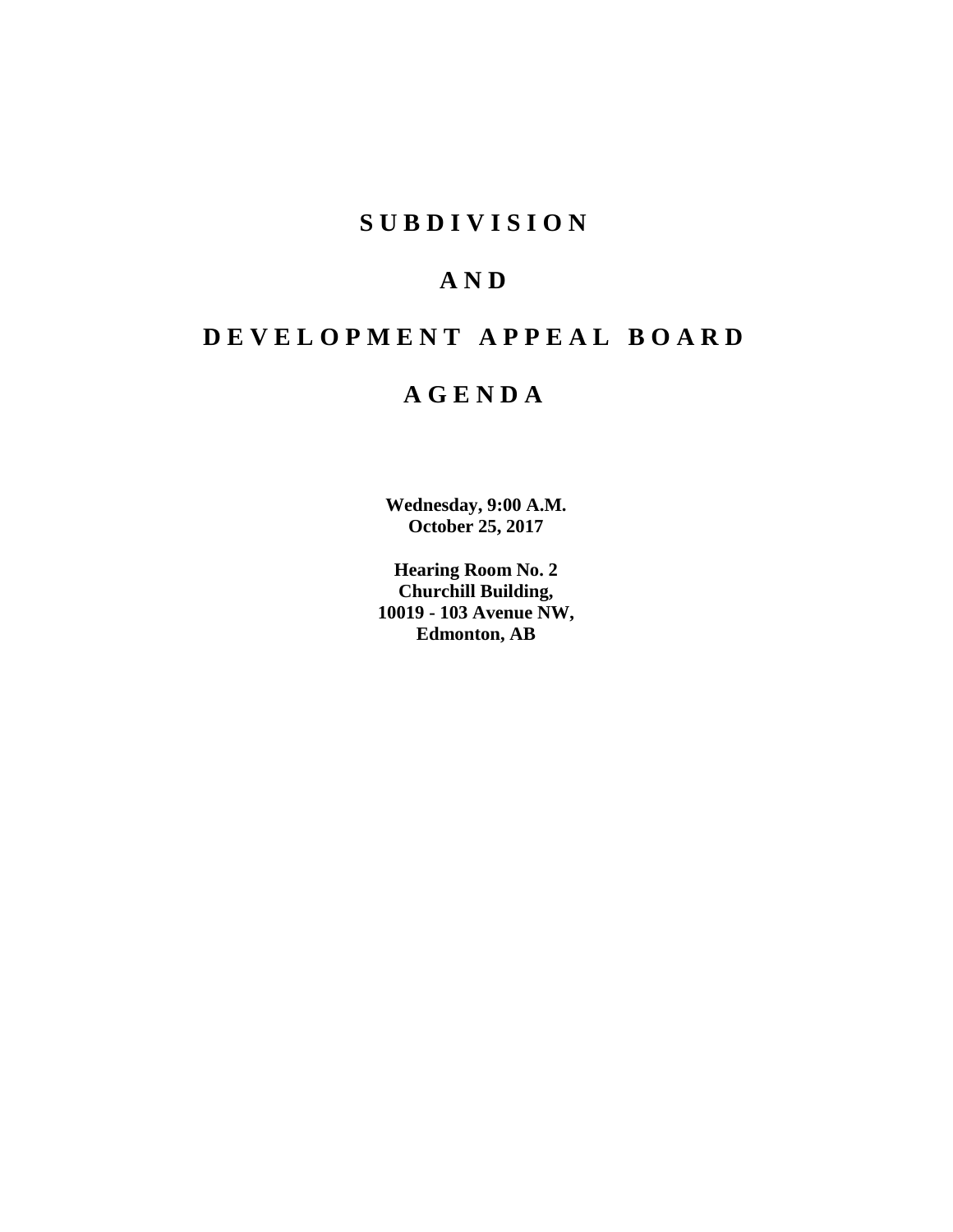# **SUBDIVISION**

# **AND**

# **DEVELOPMENT APPEAL BOARD**

# **AGENDA**

**Wednesday, 9:00 A.M. October 25, 2017**

**Hearing Room No. 2 Churchill Building, 10019 - 103 Avenue NW, Edmonton, AB**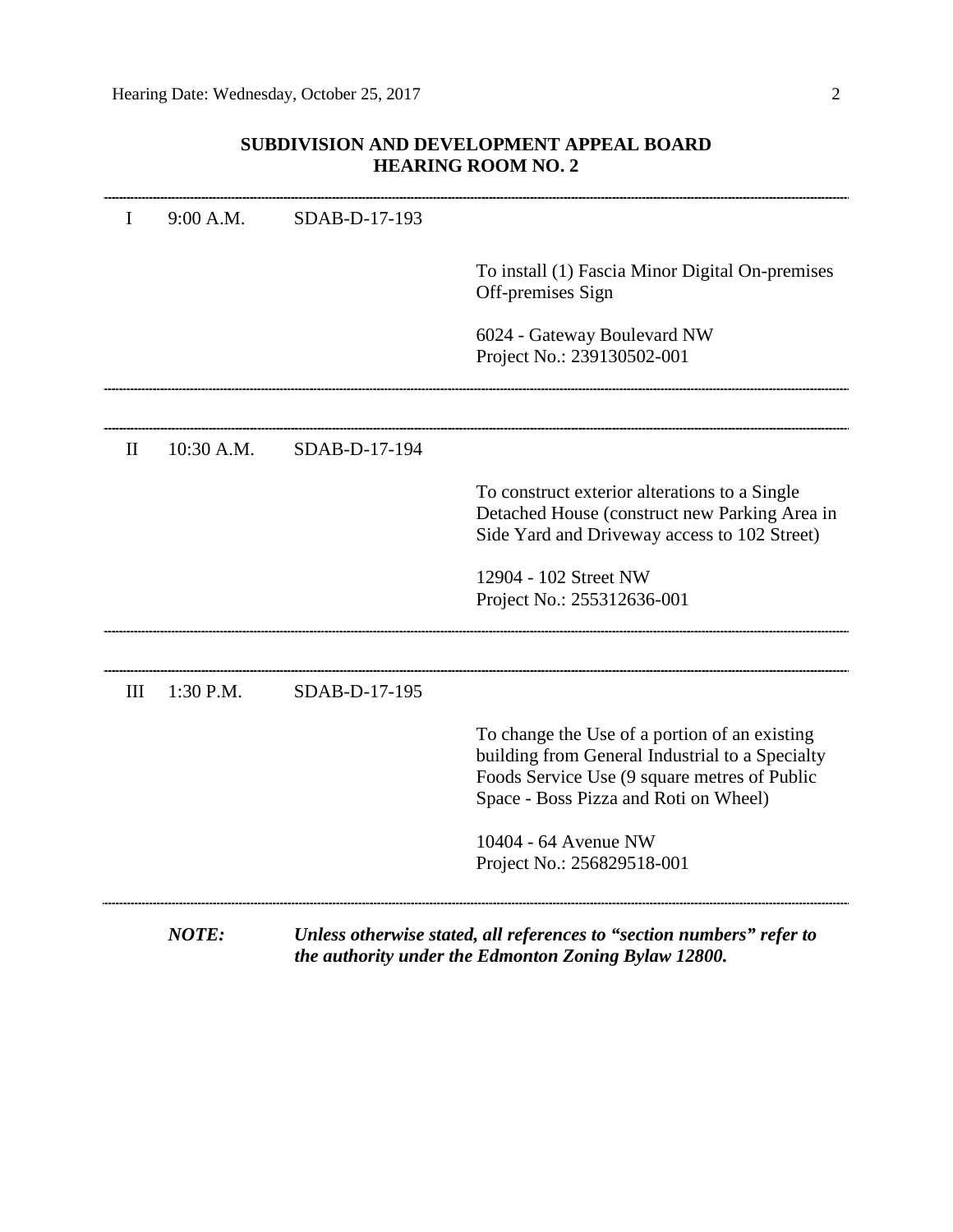# **SUBDIVISION AND DEVELOPMENT APPEAL BOARD HEARING ROOM NO. 2**

| $\mathbf I$  | 9:00 A.M.  | SDAB-D-17-193 |                                                                                                                                                                                           |
|--------------|------------|---------------|-------------------------------------------------------------------------------------------------------------------------------------------------------------------------------------------|
|              |            |               | To install (1) Fascia Minor Digital On-premises<br>Off-premises Sign                                                                                                                      |
|              |            |               | 6024 - Gateway Boulevard NW<br>Project No.: 239130502-001                                                                                                                                 |
| $\mathbf{I}$ | 10:30 A.M. | SDAB-D-17-194 |                                                                                                                                                                                           |
|              |            |               | To construct exterior alterations to a Single<br>Detached House (construct new Parking Area in<br>Side Yard and Driveway access to 102 Street)                                            |
|              |            |               | 12904 - 102 Street NW<br>Project No.: 255312636-001                                                                                                                                       |
| III          | 1:30 P.M.  | SDAB-D-17-195 |                                                                                                                                                                                           |
|              |            |               | To change the Use of a portion of an existing<br>building from General Industrial to a Specialty<br>Foods Service Use (9 square metres of Public<br>Space - Boss Pizza and Roti on Wheel) |
|              |            |               | 10404 - 64 Avenue NW<br>Project No.: 256829518-001                                                                                                                                        |
|              | NOTE:      |               | Unless otherwise stated, all references to "section numbers" refer to<br>the authority under the Edmonton Zoning Bylaw 12800.                                                             |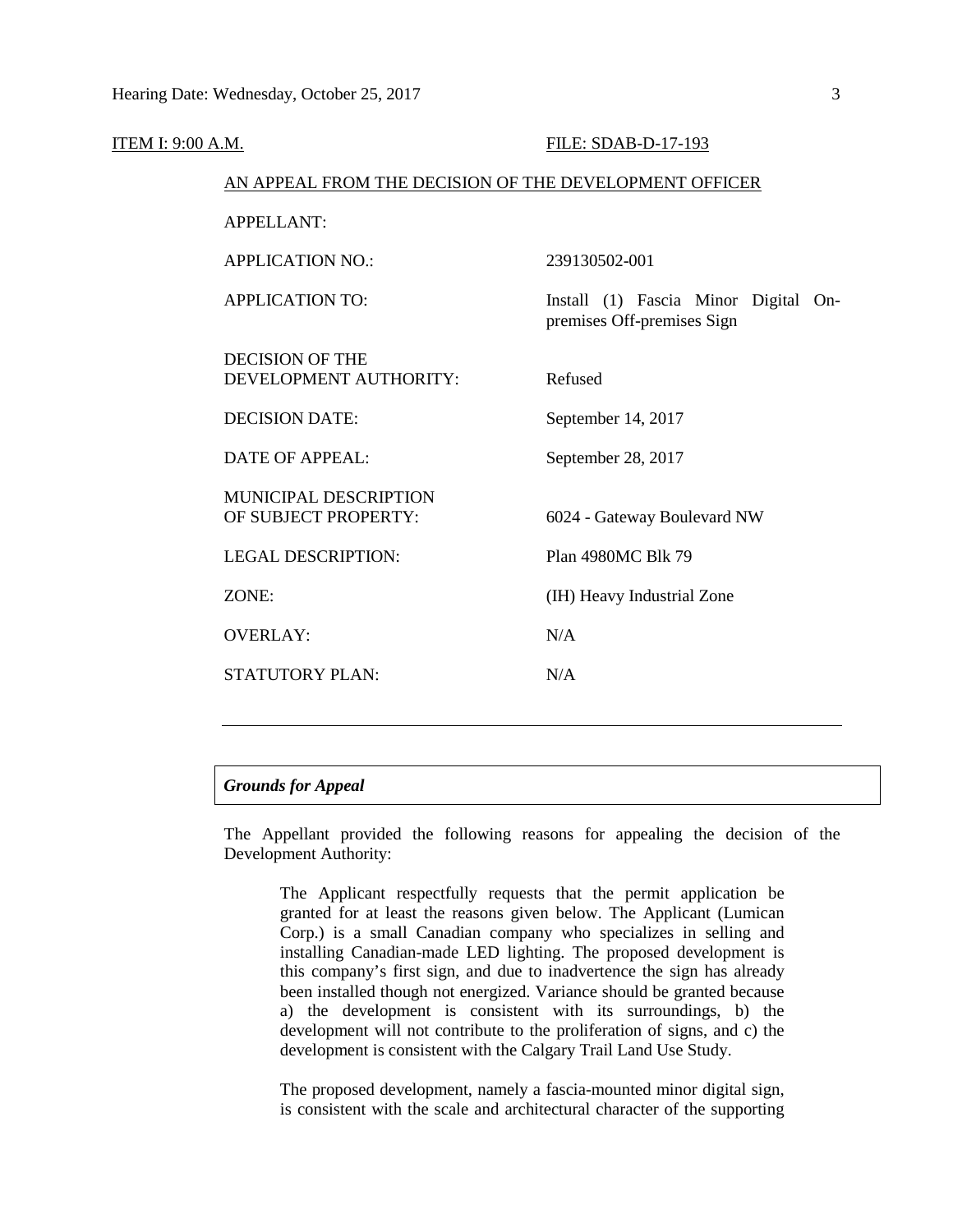| <u>ITEM I: 9:00 A.M.</u> |                                                        | FILE: SDAB-D-17-193                                                |
|--------------------------|--------------------------------------------------------|--------------------------------------------------------------------|
|                          | AN APPEAL FROM THE DECISION OF THE DEVELOPMENT OFFICER |                                                                    |
|                          | <b>APPELLANT:</b>                                      |                                                                    |
|                          | <b>APPLICATION NO.:</b>                                | 239130502-001                                                      |
|                          | <b>APPLICATION TO:</b>                                 | Install (1) Fascia Minor Digital On-<br>premises Off-premises Sign |
|                          | <b>DECISION OF THE</b><br>DEVELOPMENT AUTHORITY:       | Refused                                                            |
|                          | <b>DECISION DATE:</b>                                  | September 14, 2017                                                 |
|                          | <b>DATE OF APPEAL:</b>                                 | September 28, 2017                                                 |
|                          | <b>MUNICIPAL DESCRIPTION</b><br>OF SUBJECT PROPERTY:   | 6024 - Gateway Boulevard NW                                        |
|                          | <b>LEGAL DESCRIPTION:</b>                              | Plan 4980MC Blk 79                                                 |
|                          | ZONE:                                                  | (IH) Heavy Industrial Zone                                         |
|                          | <b>OVERLAY:</b>                                        | N/A                                                                |
|                          | STATUTORY PLAN:                                        | N/A                                                                |
|                          |                                                        |                                                                    |

# *Grounds for Appeal*

The Appellant provided the following reasons for appealing the decision of the Development Authority:

The Applicant respectfully requests that the permit application be granted for at least the reasons given below. The Applicant (Lumican Corp.) is a small Canadian company who specializes in selling and installing Canadian-made LED lighting. The proposed development is this company's first sign, and due to inadvertence the sign has already been installed though not energized. Variance should be granted because a) the development is consistent with its surroundings, b) the development will not contribute to the proliferation of signs, and c) the development is consistent with the Calgary Trail Land Use Study.

The proposed development, namely a fascia-mounted minor digital sign, is consistent with the scale and architectural character of the supporting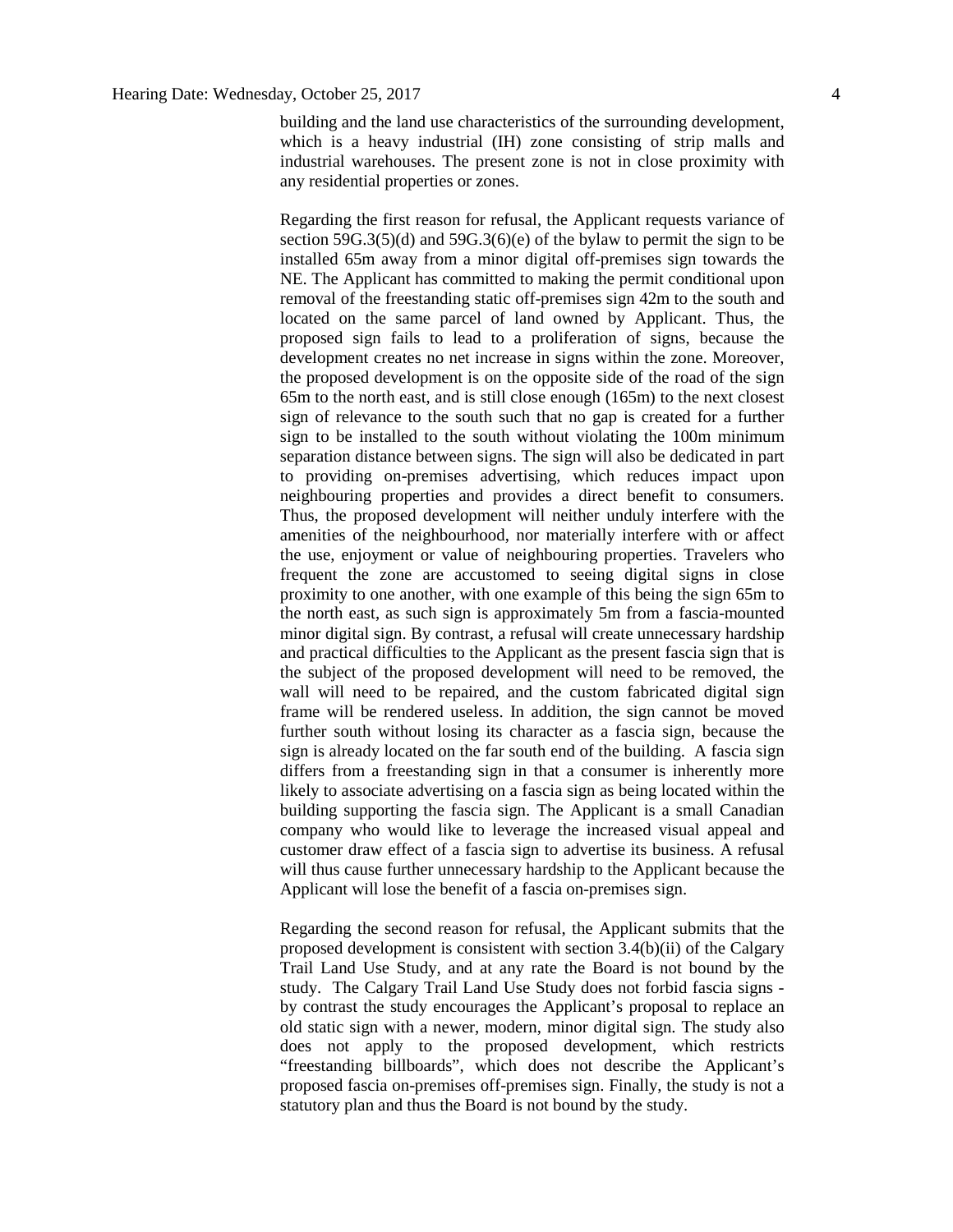building and the land use characteristics of the surrounding development, which is a heavy industrial (IH) zone consisting of strip malls and industrial warehouses. The present zone is not in close proximity with any residential properties or zones.

Regarding the first reason for refusal, the Applicant requests variance of section  $59G.3(5)(d)$  and  $59G.3(6)(e)$  of the bylaw to permit the sign to be installed 65m away from a minor digital off-premises sign towards the NE. The Applicant has committed to making the permit conditional upon removal of the freestanding static off-premises sign 42m to the south and located on the same parcel of land owned by Applicant. Thus, the proposed sign fails to lead to a proliferation of signs, because the development creates no net increase in signs within the zone. Moreover, the proposed development is on the opposite side of the road of the sign 65m to the north east, and is still close enough (165m) to the next closest sign of relevance to the south such that no gap is created for a further sign to be installed to the south without violating the 100m minimum separation distance between signs. The sign will also be dedicated in part to providing on-premises advertising, which reduces impact upon neighbouring properties and provides a direct benefit to consumers. Thus, the proposed development will neither unduly interfere with the amenities of the neighbourhood, nor materially interfere with or affect the use, enjoyment or value of neighbouring properties. Travelers who frequent the zone are accustomed to seeing digital signs in close proximity to one another, with one example of this being the sign 65m to the north east, as such sign is approximately 5m from a fascia-mounted minor digital sign. By contrast, a refusal will create unnecessary hardship and practical difficulties to the Applicant as the present fascia sign that is the subject of the proposed development will need to be removed, the wall will need to be repaired, and the custom fabricated digital sign frame will be rendered useless. In addition, the sign cannot be moved further south without losing its character as a fascia sign, because the sign is already located on the far south end of the building. A fascia sign differs from a freestanding sign in that a consumer is inherently more likely to associate advertising on a fascia sign as being located within the building supporting the fascia sign. The Applicant is a small Canadian company who would like to leverage the increased visual appeal and customer draw effect of a fascia sign to advertise its business. A refusal will thus cause further unnecessary hardship to the Applicant because the Applicant will lose the benefit of a fascia on-premises sign.

Regarding the second reason for refusal, the Applicant submits that the proposed development is consistent with section 3.4(b)(ii) of the Calgary Trail Land Use Study, and at any rate the Board is not bound by the study. The Calgary Trail Land Use Study does not forbid fascia signs by contrast the study encourages the Applicant's proposal to replace an old static sign with a newer, modern, minor digital sign. The study also does not apply to the proposed development, which restricts "freestanding billboards", which does not describe the Applicant's proposed fascia on-premises off-premises sign. Finally, the study is not a statutory plan and thus the Board is not bound by the study.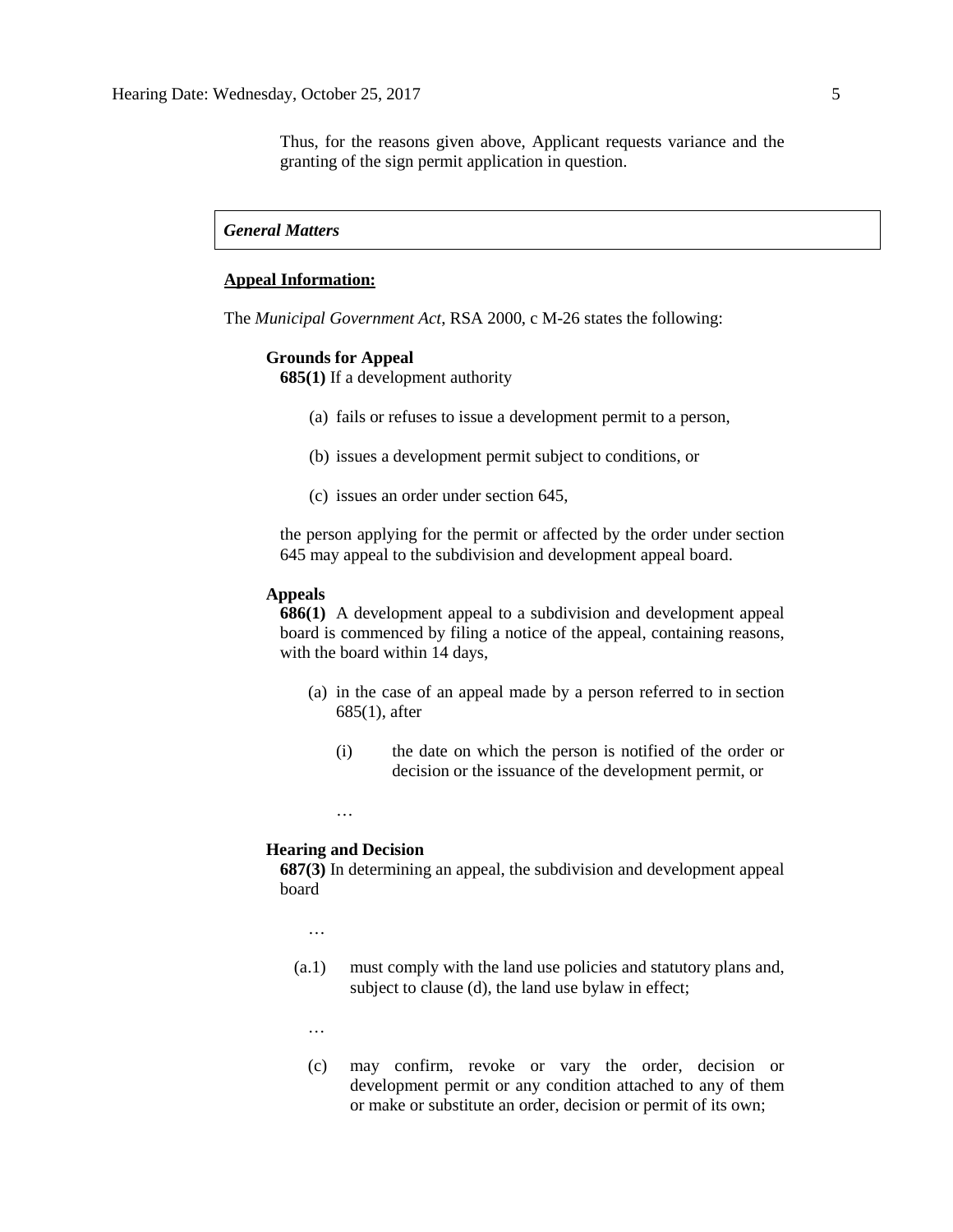# *General Matters*

### **Appeal Information:**

The *Municipal Government Act*, RSA 2000, c M-26 states the following:

# **Grounds for Appeal**

**685(1)** If a development authority

- (a) fails or refuses to issue a development permit to a person,
- (b) issues a development permit subject to conditions, or
- (c) issues an order under section 645,

the person applying for the permit or affected by the order under section 645 may appeal to the subdivision and development appeal board.

#### **Appeals**

**686(1)** A development appeal to a subdivision and development appeal board is commenced by filing a notice of the appeal, containing reasons, with the board within 14 days,

- (a) in the case of an appeal made by a person referred to in section 685(1), after
	- (i) the date on which the person is notified of the order or decision or the issuance of the development permit, or

…

# **Hearing and Decision**

**687(3)** In determining an appeal, the subdivision and development appeal board

…

(a.1) must comply with the land use policies and statutory plans and, subject to clause (d), the land use bylaw in effect;

…

(c) may confirm, revoke or vary the order, decision or development permit or any condition attached to any of them or make or substitute an order, decision or permit of its own;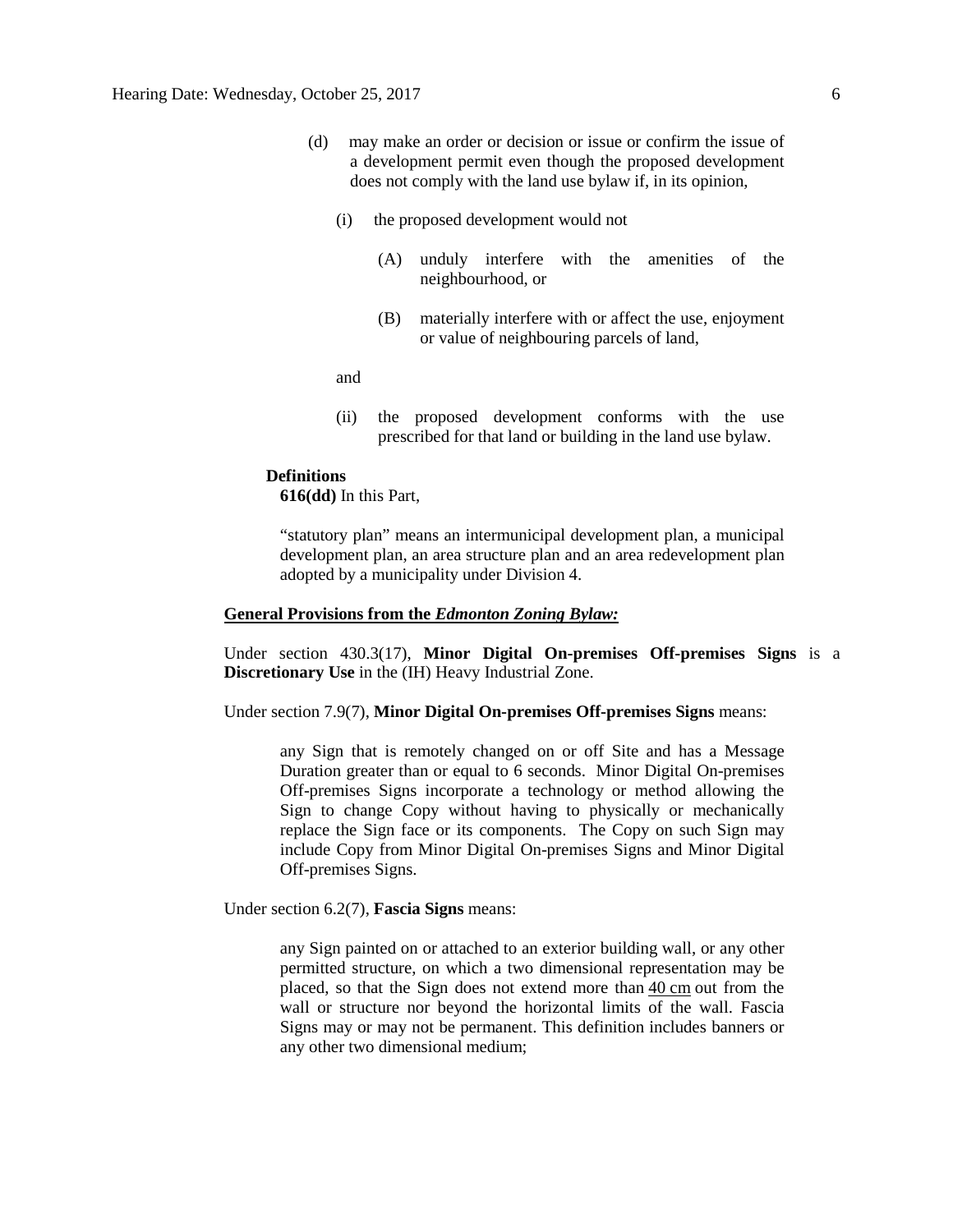- (d) may make an order or decision or issue or confirm the issue of a development permit even though the proposed development does not comply with the land use bylaw if, in its opinion,
	- (i) the proposed development would not
		- (A) unduly interfere with the amenities of the neighbourhood, or
		- (B) materially interfere with or affect the use, enjoyment or value of neighbouring parcels of land,

and

(ii) the proposed development conforms with the use prescribed for that land or building in the land use bylaw.

#### **Definitions**

**616(dd)** In this Part,

"statutory plan" means an intermunicipal development plan, a municipal development plan, an area structure plan and an area redevelopment plan adopted by a municipality under Division 4.

# **General Provisions from the** *Edmonton Zoning Bylaw:*

Under section 430.3(17), **Minor Digital On-premises Off-premises Signs** is a **Discretionary Use** in the (IH) Heavy Industrial Zone.

Under section 7.9(7), **Minor Digital On-premises Off-premises Signs** means:

any Sign that is remotely changed on or off Site and has a Message Duration greater than or equal to 6 seconds. Minor Digital On-premises Off-premises Signs incorporate a technology or method allowing the Sign to change Copy without having to physically or mechanically replace the Sign face or its components. The Copy on such Sign may include Copy from Minor Digital On-premises Signs and Minor Digital Off-premises Signs.

Under section 6.2(7), **Fascia Signs** means:

any Sign painted on or attached to an exterior building wall, or any other permitted structure, on which a two dimensional representation may be placed, so that the Sign does not extend more than 40 [cm](javascript:void(0);) out from the wall or structure nor beyond the horizontal limits of the wall. Fascia Signs may or may not be permanent. This definition includes banners or any other two dimensional medium;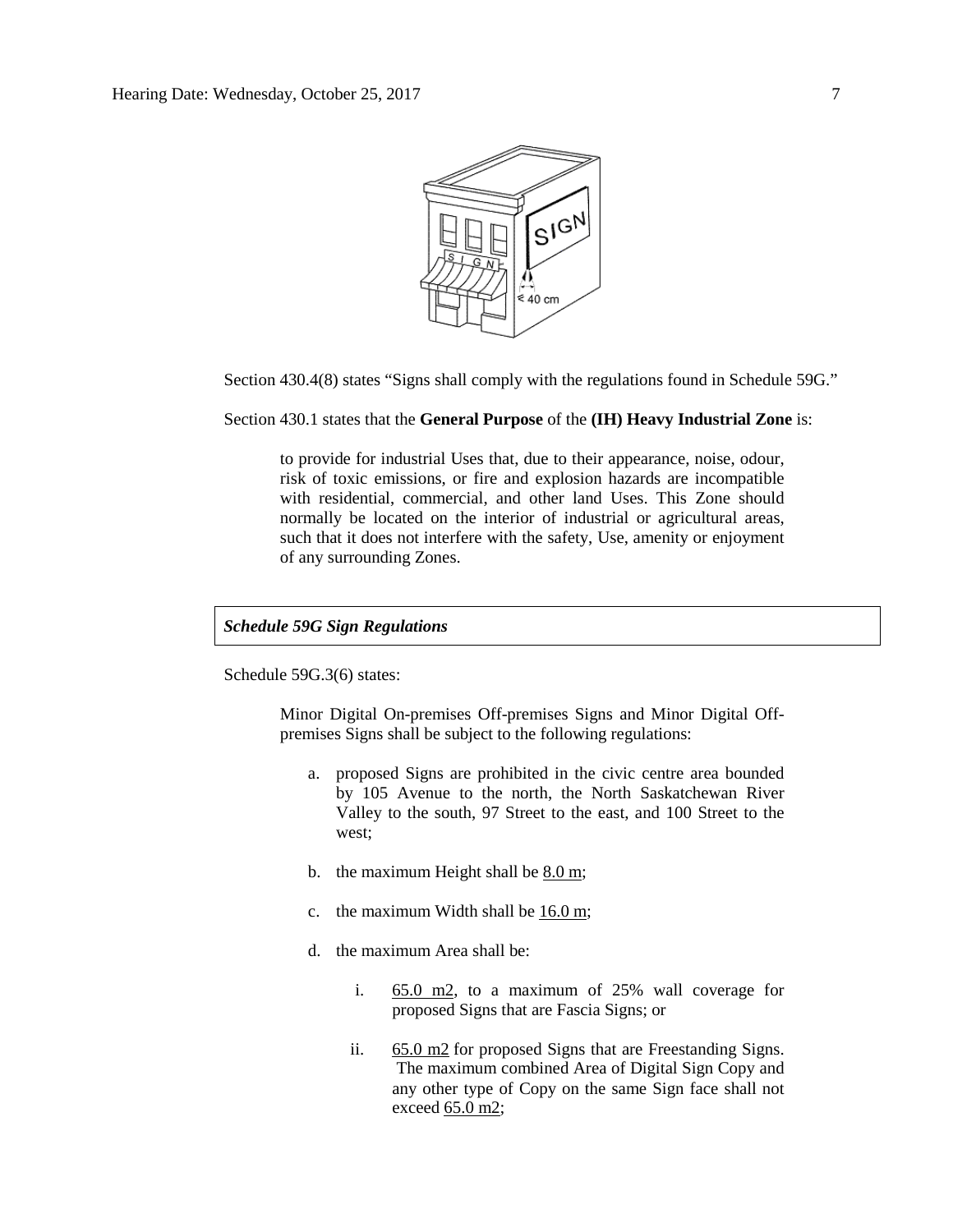

Section 430.4(8) states "Signs shall comply with the regulations found in Schedule 59G."

Section 430.1 states that the **General Purpose** of the **(IH) Heavy Industrial Zone** is:

to provide for industrial Uses that, due to their appearance, noise, odour, risk of toxic emissions, or fire and explosion hazards are incompatible with residential, commercial, and other land Uses. This Zone should normally be located on the interior of industrial or agricultural areas, such that it does not interfere with the safety, Use, amenity or enjoyment of any surrounding Zones.

# *Schedule 59G Sign Regulations*

Schedule 59G.3(6) states:

Minor Digital On-premises Off-premises Signs and Minor Digital Offpremises Signs shall be subject to the following regulations:

- a. proposed Signs are prohibited in the civic centre area bounded by 105 Avenue to the north, the North Saskatchewan River Valley to the south, 97 Street to the east, and 100 Street to the west;
- b. the maximum Height shall be  $8.0 \text{ m}$ ;
- c. the maximum Width shall be [16.0 m;](javascript:void(0);)
- d. the maximum Area shall be:
	- i. [65.0 m2,](javascript:void(0);) to a maximum of 25% wall coverage for proposed Signs that are Fascia Signs; or
	- ii. [65.0 m2](javascript:void(0);) for proposed Signs that are Freestanding Signs. The maximum combined Area of Digital Sign Copy and any other type of Copy on the same Sign face shall not exceed [65.0 m2;](javascript:void(0);)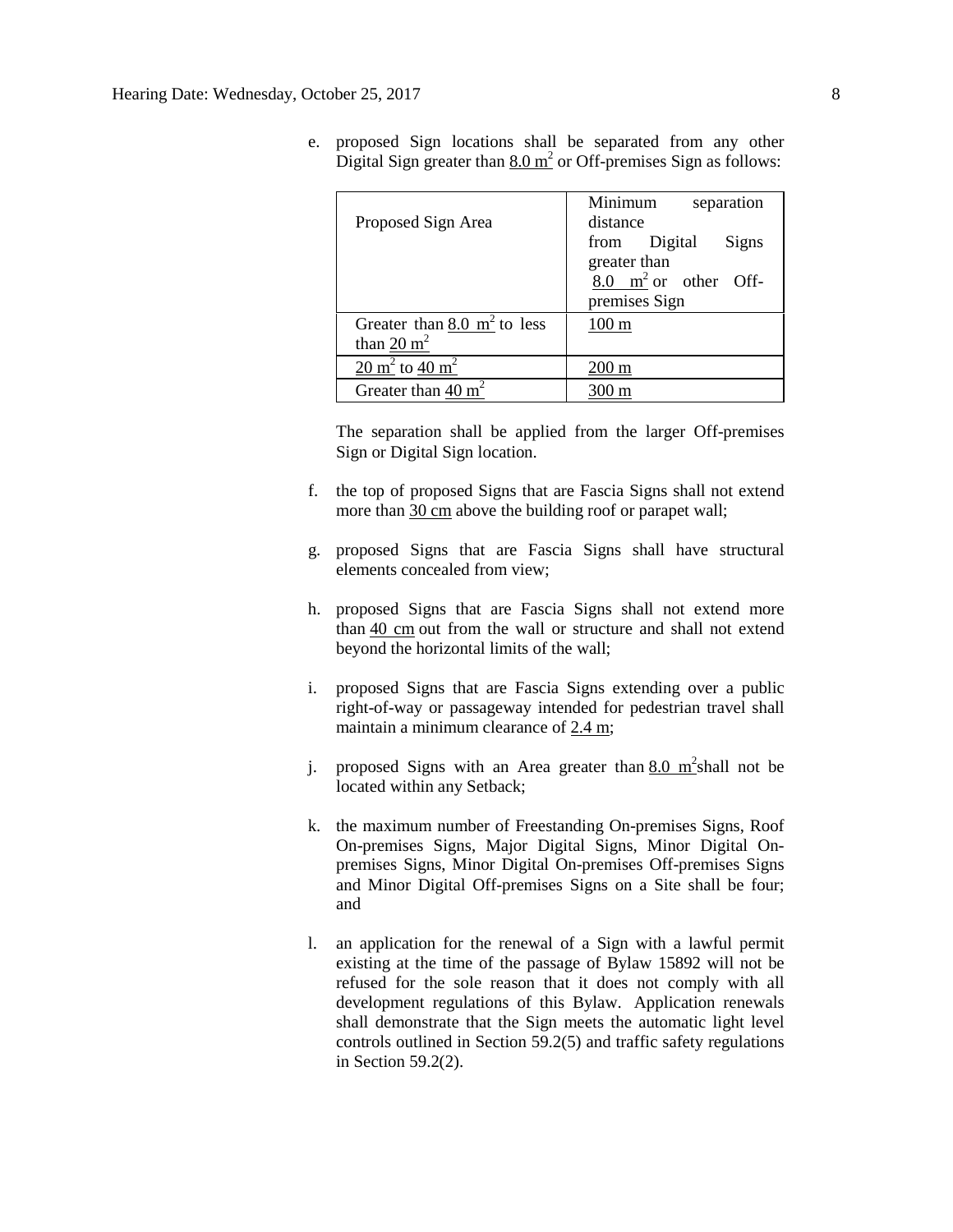| Proposed Sign Area                                                 | Minimum<br>separation<br>distance |
|--------------------------------------------------------------------|-----------------------------------|
|                                                                    | from Digital<br>Signs             |
|                                                                    | greater than                      |
|                                                                    | $8.0 \text{ m}^2$ or other Off-   |
|                                                                    | premises Sign                     |
| Greater than $8.0 \text{ m}^2$ to less                             | $100 \text{ m}$                   |
| than $20 \text{ m}^2$                                              |                                   |
| $\overline{20 \text{ m}^2}$ to $\frac{40 \text{ m}^2}{\text{m}^2}$ | $200 \text{ m}$                   |
| Greater than 40 $m2$                                               | )() m                             |

e. proposed Sign locations shall be separated from any other Digital Sign greater than  $8.0 \text{ m}^2$  or Off-premises Sign as follows:

The separation shall be applied from the larger Off-premises Sign or Digital Sign location.

- f. the top of proposed Signs that are Fascia Signs shall not extend more than  $30 \text{ cm}$  above the building roof or parapet wall;
- g. proposed Signs that are Fascia Signs shall have structural elements concealed from view;
- h. proposed Signs that are Fascia Signs shall not extend more than  $40 \text{ cm}$  out from the wall or structure and shall not extend beyond the horizontal limits of the wall;
- i. proposed Signs that are Fascia Signs extending over a public right-of-way or passageway intended for pedestrian travel shall maintain a minimum clearance of [2.4 m;](javascript:void(0);)
- j. proposed Signs with an Area greater than  $8.0 \text{ m}^2$ shall not be located within any Setback;
- k. the maximum number of Freestanding On-premises Signs, Roof On-premises Signs, Major Digital Signs, Minor Digital Onpremises Signs, Minor Digital On-premises Off-premises Signs and Minor Digital Off-premises Signs on a Site shall be four; and
- l. an application for the renewal of a Sign with a lawful permit existing at the time of the passage of Bylaw 15892 will not be refused for the sole reason that it does not comply with all development regulations of this Bylaw. Application renewals shall demonstrate that the Sign meets the automatic light level controls outlined in Section 59.2(5) and traffic safety regulations in Section 59.2(2).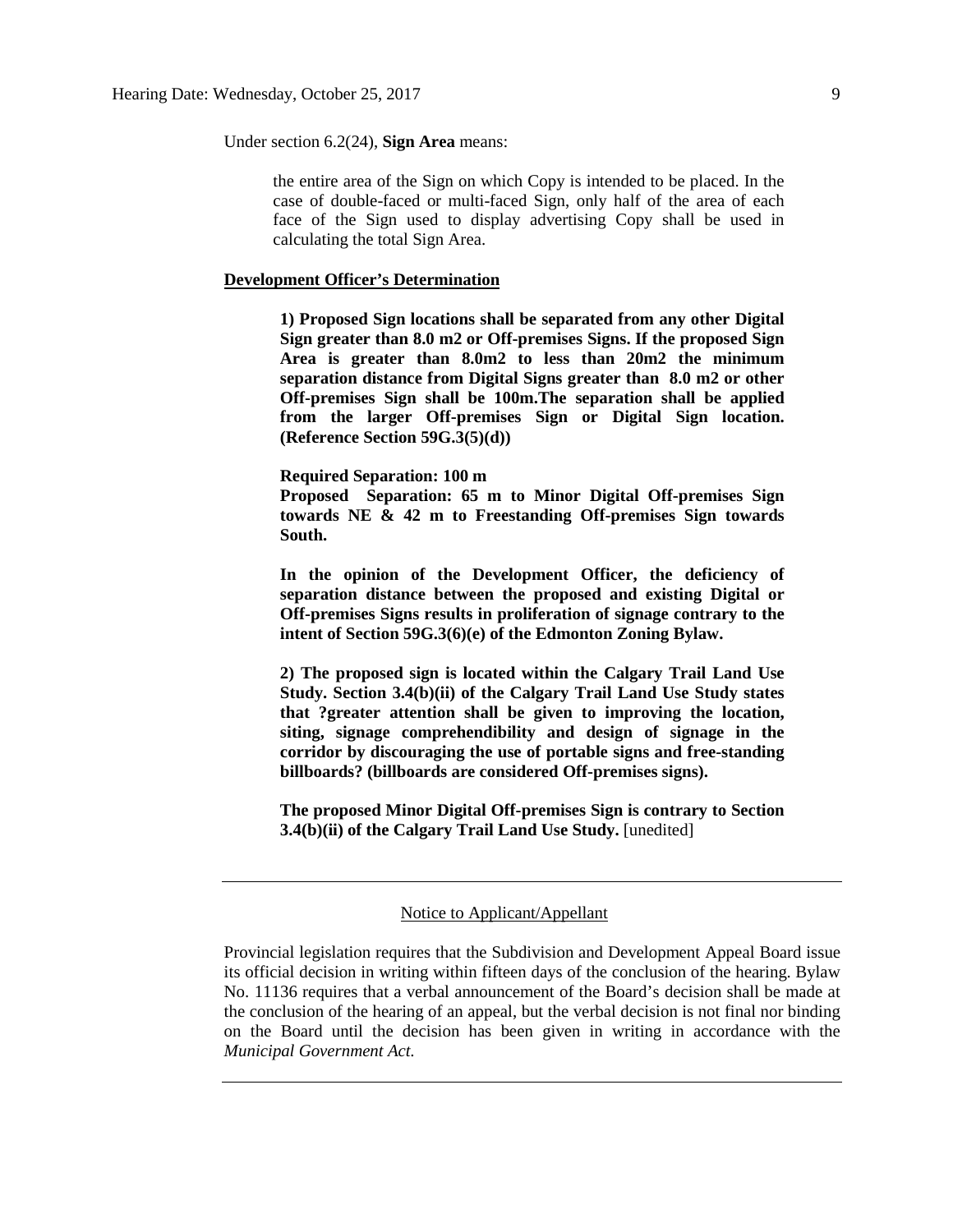Under section 6.2(24), **Sign Area** means:

the entire area of the Sign on which Copy is intended to be placed. In the case of double-faced or multi-faced Sign, only half of the area of each face of the Sign used to display advertising Copy shall be used in calculating the total Sign Area.

# **Development Officer's Determination**

**1) Proposed Sign locations shall be separated from any other Digital Sign greater than 8.0 m2 or Off-premises Signs. If the proposed Sign Area is greater than 8.0m2 to less than 20m2 the minimum separation distance from Digital Signs greater than 8.0 m2 or other Off-premises Sign shall be 100m.The separation shall be applied from the larger Off-premises Sign or Digital Sign location. (Reference Section 59G.3(5)(d))**

**Required Separation: 100 m**

**Proposed Separation: 65 m to Minor Digital Off-premises Sign towards NE & 42 m to Freestanding Off-premises Sign towards South.**

**In the opinion of the Development Officer, the deficiency of separation distance between the proposed and existing Digital or Off-premises Signs results in proliferation of signage contrary to the intent of Section 59G.3(6)(e) of the Edmonton Zoning Bylaw.**

**2) The proposed sign is located within the Calgary Trail Land Use Study. Section 3.4(b)(ii) of the Calgary Trail Land Use Study states that ?greater attention shall be given to improving the location, siting, signage comprehendibility and design of signage in the corridor by discouraging the use of portable signs and free-standing billboards? (billboards are considered Off-premises signs).** 

**The proposed Minor Digital Off-premises Sign is contrary to Section 3.4(b)(ii) of the Calgary Trail Land Use Study.** [unedited]

#### Notice to Applicant/Appellant

Provincial legislation requires that the Subdivision and Development Appeal Board issue its official decision in writing within fifteen days of the conclusion of the hearing. Bylaw No. 11136 requires that a verbal announcement of the Board's decision shall be made at the conclusion of the hearing of an appeal, but the verbal decision is not final nor binding on the Board until the decision has been given in writing in accordance with the *Municipal Government Act.*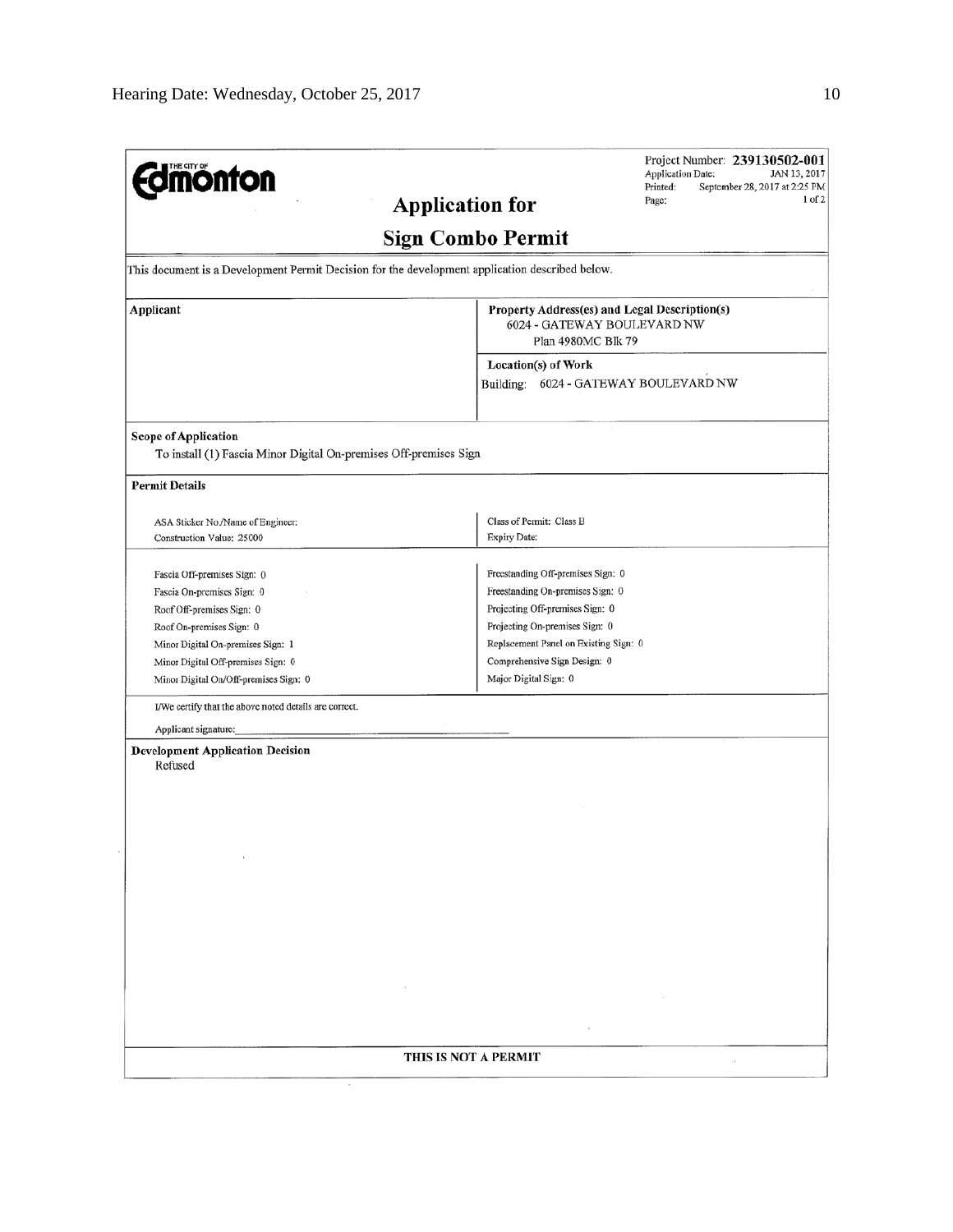| <b><i><u>dinonton</u></i></b>                                                                    | Project Number: 239130502-001<br>Application Date:<br>JAN 13, 2017<br>Printed:<br>September 28, 2017 at 2:25 PM<br>$1$ of $2$<br>Page:<br><b>Application for</b> |
|--------------------------------------------------------------------------------------------------|------------------------------------------------------------------------------------------------------------------------------------------------------------------|
|                                                                                                  | <b>Sign Combo Permit</b>                                                                                                                                         |
| This document is a Development Permit Decision for the development application described below.  |                                                                                                                                                                  |
| Applicant                                                                                        | Property Address(es) and Legal Description(s)<br>6024 - GATEWAY BOULEVARD NW<br>Plan 4980MC Blk 79                                                               |
|                                                                                                  | Location(s) of Work<br>Building: 6024 - GATEWAY BOULEVARD NW                                                                                                     |
| <b>Scope of Application</b><br>To install (1) Fascia Minor Digital On-premises Off-premises Sign |                                                                                                                                                                  |
| <b>Permit Details</b>                                                                            |                                                                                                                                                                  |
| ASA Sticker No./Name of Engineer:<br>Construction Value: 25000                                   | Class of Permit: Class B<br><b>Expiry Date:</b>                                                                                                                  |
| Fascia Off-premises Sign: 0                                                                      | Freestanding Off-premises Sign: 0                                                                                                                                |
| Fascia On-premises Sign: 0                                                                       | Freestanding On-premises Sign: 0                                                                                                                                 |
| Roof Off-premises Sign: 0                                                                        | Projecting Off-premises Sign: 0                                                                                                                                  |
| Roof On-premises Sign: 0                                                                         | Projecting On-premises Sign: 0                                                                                                                                   |
| Minor Digital On-premises Sign: 1                                                                | Replacement Panel on Existing Sign: 0                                                                                                                            |
| Minor Digital Off-premises Sign: 0                                                               | Comprehensive Sign Design: 0                                                                                                                                     |
| Minor Digital On/Off-premises Sign: 0                                                            | Major Digital Sign: 0                                                                                                                                            |
| I/We certify that the above noted details are correct.                                           |                                                                                                                                                                  |
| Applicant signature:                                                                             |                                                                                                                                                                  |
| <b>Development Application Decision</b><br>Refused                                               |                                                                                                                                                                  |
|                                                                                                  |                                                                                                                                                                  |
|                                                                                                  |                                                                                                                                                                  |
|                                                                                                  |                                                                                                                                                                  |
|                                                                                                  |                                                                                                                                                                  |
|                                                                                                  |                                                                                                                                                                  |
|                                                                                                  |                                                                                                                                                                  |
|                                                                                                  |                                                                                                                                                                  |
|                                                                                                  |                                                                                                                                                                  |
|                                                                                                  |                                                                                                                                                                  |
|                                                                                                  |                                                                                                                                                                  |
|                                                                                                  | THIS IS NOT A PERMIT                                                                                                                                             |
|                                                                                                  |                                                                                                                                                                  |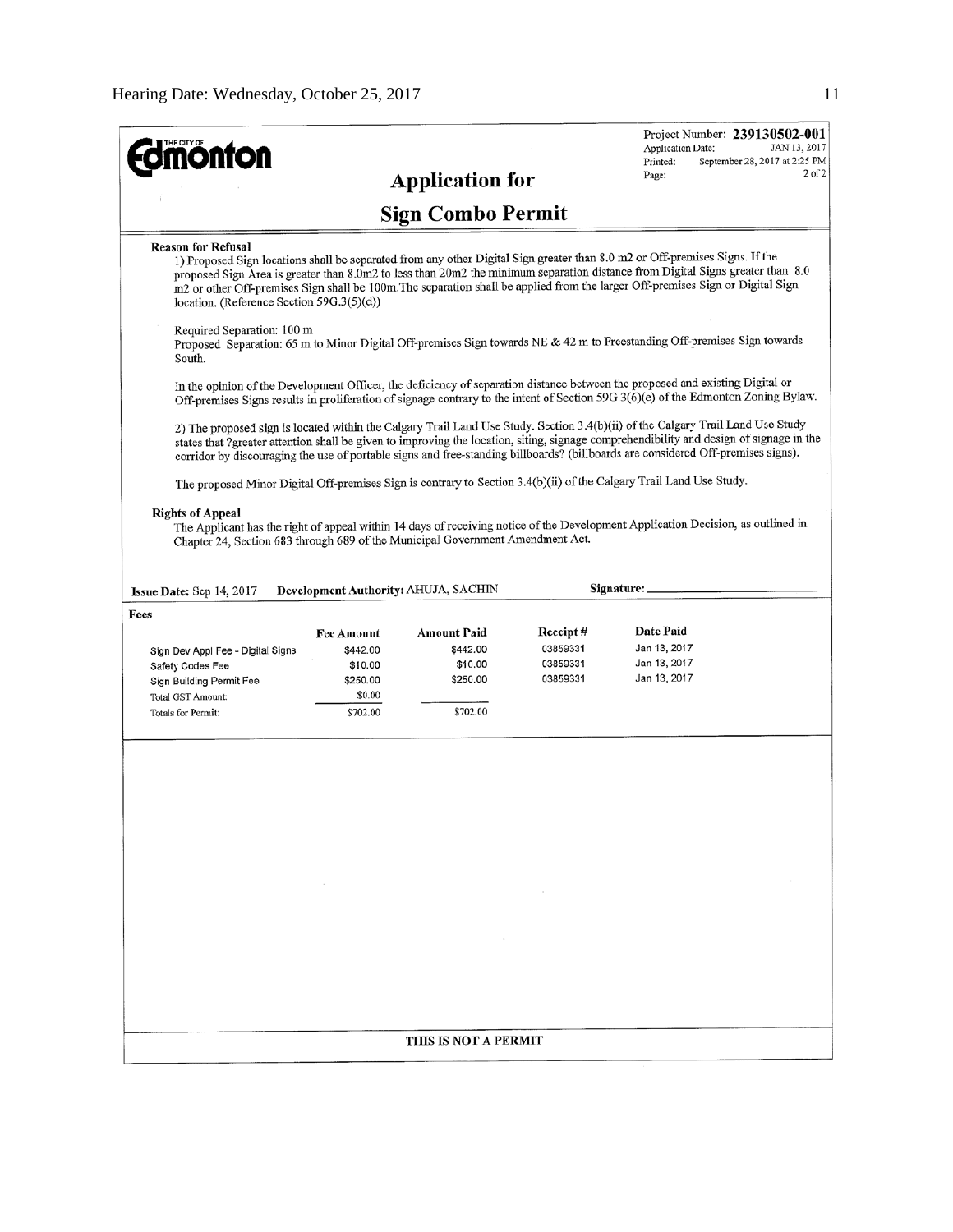| <b>mönton</b>                                                                                                                                                                                                                                                                                                                                                                                                                                                             |                     |                                      |                      | Project Number: 239130502-001<br>Application Date:<br>Printed: | JAN 13, 2017<br>September 28, 2017 at 2:25 PM |  |  |  |
|---------------------------------------------------------------------------------------------------------------------------------------------------------------------------------------------------------------------------------------------------------------------------------------------------------------------------------------------------------------------------------------------------------------------------------------------------------------------------|---------------------|--------------------------------------|----------------------|----------------------------------------------------------------|-----------------------------------------------|--|--|--|
|                                                                                                                                                                                                                                                                                                                                                                                                                                                                           |                     | <b>Application for</b>               |                      | Page:                                                          | $2$ of $2$                                    |  |  |  |
| <b>Sign Combo Permit</b>                                                                                                                                                                                                                                                                                                                                                                                                                                                  |                     |                                      |                      |                                                                |                                               |  |  |  |
| <b>Reason for Refusal</b><br>1) Proposed Sign locations shall be separated from any other Digital Sign greater than 8.0 m2 or Off-premises Signs. If the<br>proposed Sign Area is greater than 8.0m2 to less than 20m2 the minimum separation distance from Digital Signs greater than 8.0<br>m2 or other Off-premises Sign shall be 100m. The separation shall be applied from the larger Off-premises Sign or Digital Sign<br>location. (Reference Section 59G.3(5)(d)) |                     |                                      |                      |                                                                |                                               |  |  |  |
| Required Separation: 100 m<br>Proposed Separation: 65 m to Minor Digital Off-premises Sign towards NE & 42 m to Freestanding Off-premises Sign towards<br>South.                                                                                                                                                                                                                                                                                                          |                     |                                      |                      |                                                                |                                               |  |  |  |
| In the opinion of the Development Officer, the deficiency of separation distance between the proposed and existing Digital or<br>Off-premises Signs results in proliferation of signage contrary to the intent of Section 59G.3(6)(e) of the Edmonton Zoning Bylaw.                                                                                                                                                                                                       |                     |                                      |                      |                                                                |                                               |  |  |  |
| 2) The proposed sign is located within the Calgary Trail Land Use Study. Section 3.4(b)(ii) of the Calgary Trail Land Use Study<br>states that ?greater attention shall be given to improving the location, siting, signage comprehendibility and design of signage in the<br>corridor by discouraging the use of portable signs and free-standing billboards? (billboards are considered Off-premises signs).                                                            |                     |                                      |                      |                                                                |                                               |  |  |  |
| The proposed Minor Digital Off-premises Sign is contrary to Section 3.4(b)(ii) of the Calgary Trail Land Use Study.                                                                                                                                                                                                                                                                                                                                                       |                     |                                      |                      |                                                                |                                               |  |  |  |
| <b>Rights of Appeal</b><br>The Applicant has the right of appeal within 14 days of receiving notice of the Development Application Decision, as outlined in<br>Chapter 24, Section 683 through 689 of the Municipal Government Amendment Act.                                                                                                                                                                                                                             |                     |                                      |                      |                                                                |                                               |  |  |  |
| Issue Date: Sep 14, 2017<br>Fees                                                                                                                                                                                                                                                                                                                                                                                                                                          |                     | Development Authority: AHUJA, SACHIN |                      | Signature:                                                     |                                               |  |  |  |
|                                                                                                                                                                                                                                                                                                                                                                                                                                                                           | <b>Fee Amount</b>   | <b>Amount Paid</b>                   | Receipt#             | Date Paid                                                      |                                               |  |  |  |
| Sign Dev Appl Fee - Digital Signs                                                                                                                                                                                                                                                                                                                                                                                                                                         | \$442.00<br>\$10.00 | \$442.00<br>\$10.00                  | 03859331<br>03859331 | Jan 13, 2017<br>Jan 13, 2017                                   |                                               |  |  |  |
| Safety Codes Fee<br>Sign Building Permit Fee                                                                                                                                                                                                                                                                                                                                                                                                                              | \$250.00            | \$250.00                             | 03859331             | Jan 13, 2017                                                   |                                               |  |  |  |
| <b>Total GST Amount:</b>                                                                                                                                                                                                                                                                                                                                                                                                                                                  | \$0.00              |                                      |                      |                                                                |                                               |  |  |  |
| Totals for Permit:                                                                                                                                                                                                                                                                                                                                                                                                                                                        | \$702.00            | \$702.00                             |                      |                                                                |                                               |  |  |  |
|                                                                                                                                                                                                                                                                                                                                                                                                                                                                           |                     |                                      |                      |                                                                |                                               |  |  |  |
|                                                                                                                                                                                                                                                                                                                                                                                                                                                                           |                     |                                      |                      |                                                                |                                               |  |  |  |
|                                                                                                                                                                                                                                                                                                                                                                                                                                                                           |                     |                                      |                      |                                                                |                                               |  |  |  |
|                                                                                                                                                                                                                                                                                                                                                                                                                                                                           |                     |                                      |                      |                                                                |                                               |  |  |  |
|                                                                                                                                                                                                                                                                                                                                                                                                                                                                           |                     |                                      |                      |                                                                |                                               |  |  |  |
|                                                                                                                                                                                                                                                                                                                                                                                                                                                                           |                     |                                      |                      |                                                                |                                               |  |  |  |
|                                                                                                                                                                                                                                                                                                                                                                                                                                                                           |                     |                                      |                      |                                                                |                                               |  |  |  |
|                                                                                                                                                                                                                                                                                                                                                                                                                                                                           |                     |                                      |                      |                                                                |                                               |  |  |  |
|                                                                                                                                                                                                                                                                                                                                                                                                                                                                           |                     | THIS IS NOT A PERMIT                 |                      |                                                                |                                               |  |  |  |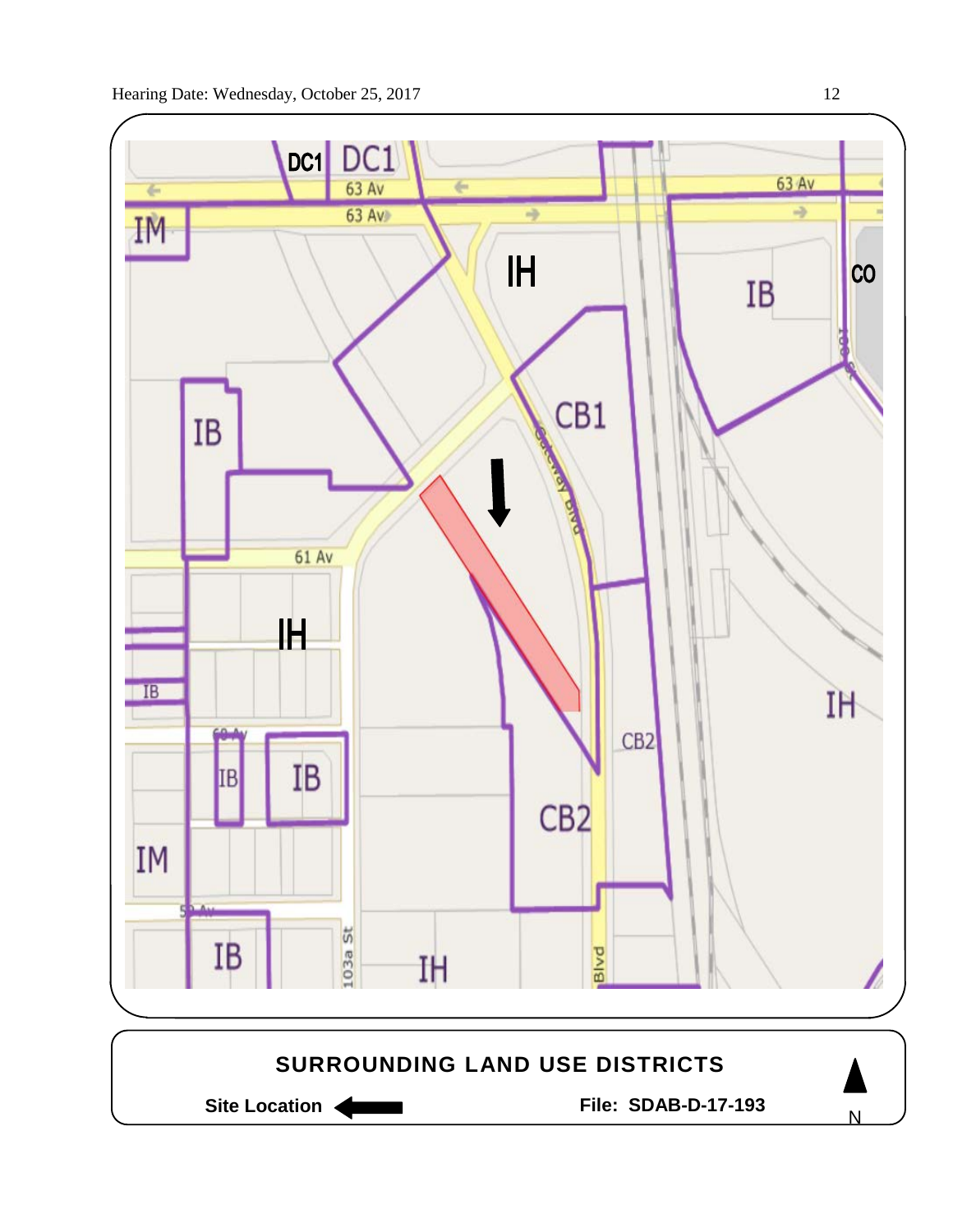

Site Location **General Execution State Location Site Location** 

N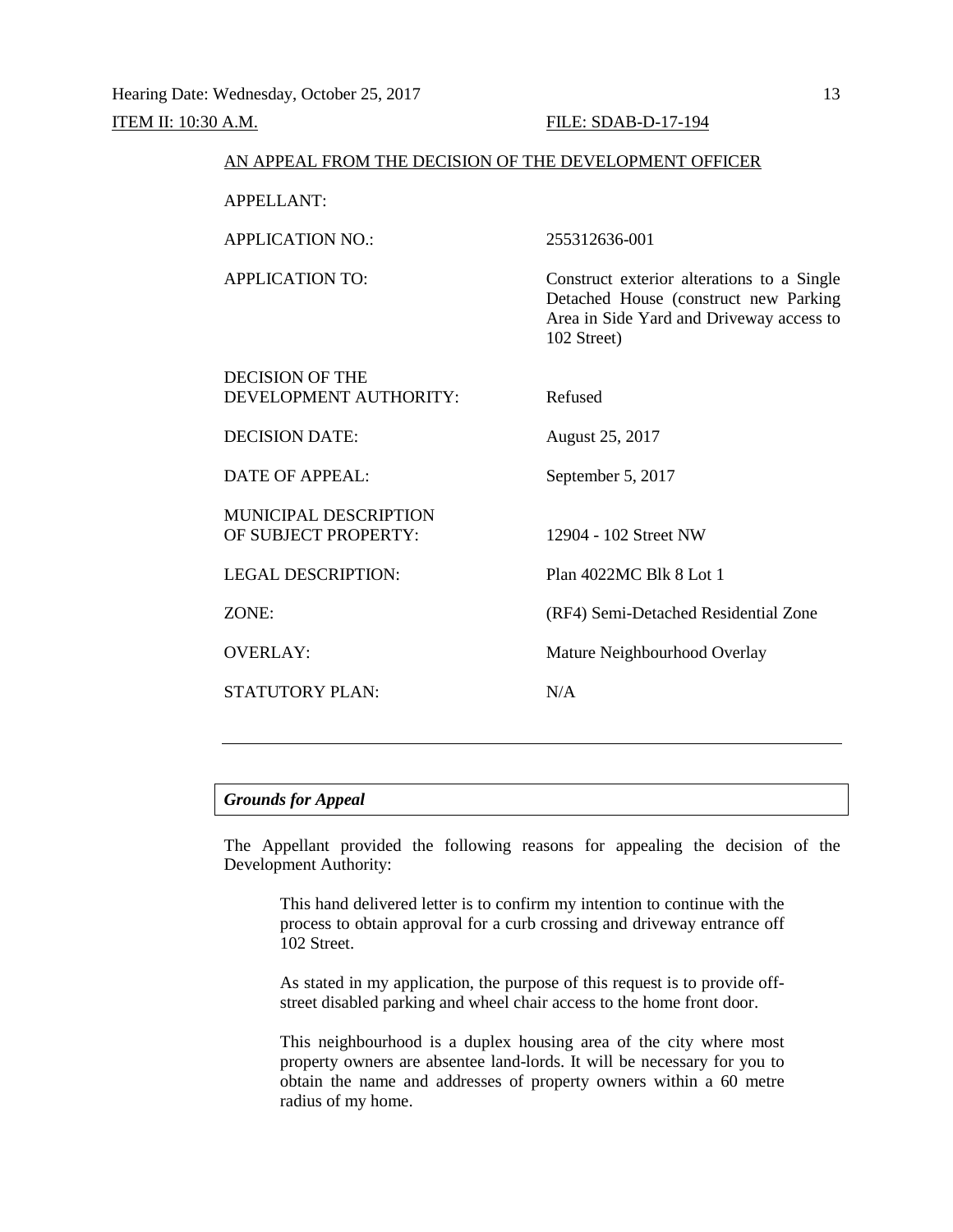| AN APPEAL FROM THE DECISION OF THE DEVELOPMENT OFFICER |                                                                                                                                                |
|--------------------------------------------------------|------------------------------------------------------------------------------------------------------------------------------------------------|
| <b>APPELLANT:</b>                                      |                                                                                                                                                |
| APPLICATION NO.:                                       | 255312636-001                                                                                                                                  |
| <b>APPLICATION TO:</b>                                 | Construct exterior alterations to a Single<br>Detached House (construct new Parking<br>Area in Side Yard and Driveway access to<br>102 Street) |
| DECISION OF THE<br>DEVELOPMENT AUTHORITY:              | Refused                                                                                                                                        |
| <b>DECISION DATE:</b>                                  | August 25, 2017                                                                                                                                |
| DATE OF APPEAL:                                        | September 5, 2017                                                                                                                              |
| <b>MUNICIPAL DESCRIPTION</b><br>OF SUBJECT PROPERTY:   | 12904 - 102 Street NW                                                                                                                          |
| <b>LEGAL DESCRIPTION:</b>                              | Plan 4022MC Blk 8 Lot 1                                                                                                                        |
| ZONE:                                                  | (RF4) Semi-Detached Residential Zone                                                                                                           |
| <b>OVERLAY:</b>                                        | Mature Neighbourhood Overlay                                                                                                                   |
| STATUTORY PLAN:                                        | N/A                                                                                                                                            |
|                                                        |                                                                                                                                                |

# *Grounds for Appeal*

The Appellant provided the following reasons for appealing the decision of the Development Authority:

This hand delivered letter is to confirm my intention to continue with the process to obtain approval for a curb crossing and driveway entrance off 102 Street.

As stated in my application, the purpose of this request is to provide offstreet disabled parking and wheel chair access to the home front door.

This neighbourhood is a duplex housing area of the city where most property owners are absentee land-lords. It will be necessary for you to obtain the name and addresses of property owners within a 60 metre radius of my home.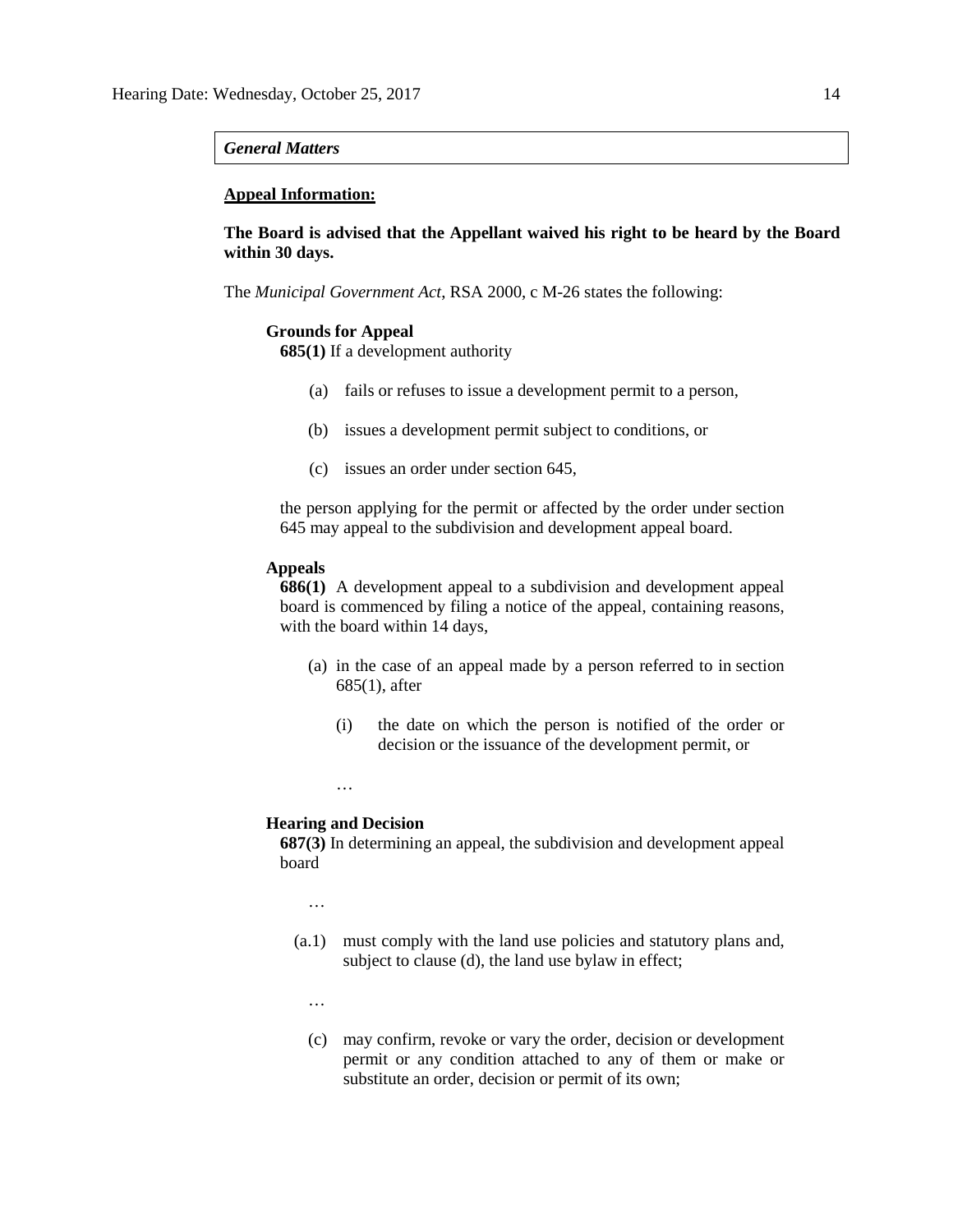#### *General Matters*

# **Appeal Information:**

**The Board is advised that the Appellant waived his right to be heard by the Board within 30 days.**

The *Municipal Government Act*, RSA 2000, c M-26 states the following:

# **Grounds for Appeal**

**685(1)** If a development authority

- (a) fails or refuses to issue a development permit to a person,
- (b) issues a development permit subject to conditions, or
- (c) issues an order under section 645,

the person applying for the permit or affected by the order under section 645 may appeal to the subdivision and development appeal board.

# **Appeals**

**686(1)** A development appeal to a subdivision and development appeal board is commenced by filing a notice of the appeal, containing reasons, with the board within 14 days,

- (a) in the case of an appeal made by a person referred to in section 685(1), after
	- (i) the date on which the person is notified of the order or decision or the issuance of the development permit, or

…

# **Hearing and Decision**

**687(3)** In determining an appeal, the subdivision and development appeal board

…

- (a.1) must comply with the land use policies and statutory plans and, subject to clause (d), the land use bylaw in effect;
	- …
	- (c) may confirm, revoke or vary the order, decision or development permit or any condition attached to any of them or make or substitute an order, decision or permit of its own;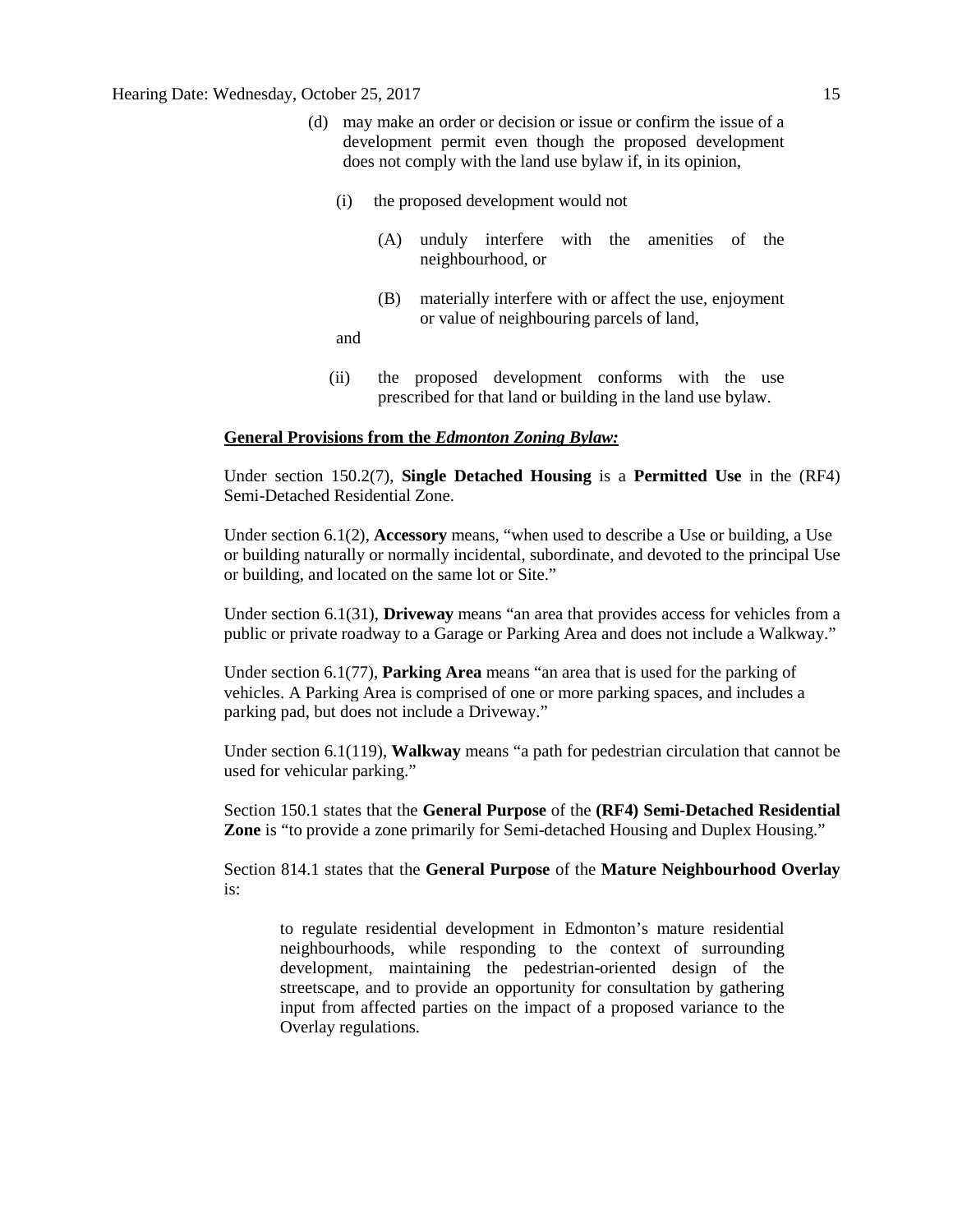- (d) may make an order or decision or issue or confirm the issue of a development permit even though the proposed development does not comply with the land use bylaw if, in its opinion,
	- (i) the proposed development would not
		- (A) unduly interfere with the amenities of the neighbourhood, or
		- (B) materially interfere with or affect the use, enjoyment or value of neighbouring parcels of land,
	- and
	- (ii) the proposed development conforms with the use prescribed for that land or building in the land use bylaw.

## **General Provisions from the** *Edmonton Zoning Bylaw:*

Under section 150.2(7), **Single Detached Housing** is a **Permitted Use** in the (RF4) Semi-Detached Residential Zone.

Under section 6.1(2), **Accessory** means, "when used to describe a Use or building, a Use or building naturally or normally incidental, subordinate, and devoted to the principal Use or building, and located on the same lot or Site."

Under section 6.1(31), **Driveway** means "an area that provides access for vehicles from a public or private roadway to a Garage or Parking Area and does not include a Walkway."

Under section 6.1(77), **Parking Area** means "an area that is used for the parking of vehicles. A Parking Area is comprised of one or more parking spaces, and includes a parking pad, but does not include a Driveway."

Under section 6.1(119), **Walkway** means "a path for pedestrian circulation that cannot be used for vehicular parking."

Section 150.1 states that the **General Purpose** of the **(RF4) Semi-Detached Residential Zone** is "to provide a zone primarily for Semi-detached Housing and Duplex Housing."

Section 814.1 states that the **General Purpose** of the **Mature Neighbourhood Overlay** is:

to regulate residential development in Edmonton's mature residential neighbourhoods, while responding to the context of surrounding development, maintaining the pedestrian-oriented design of the streetscape, and to provide an opportunity for consultation by gathering input from affected parties on the impact of a proposed variance to the Overlay regulations.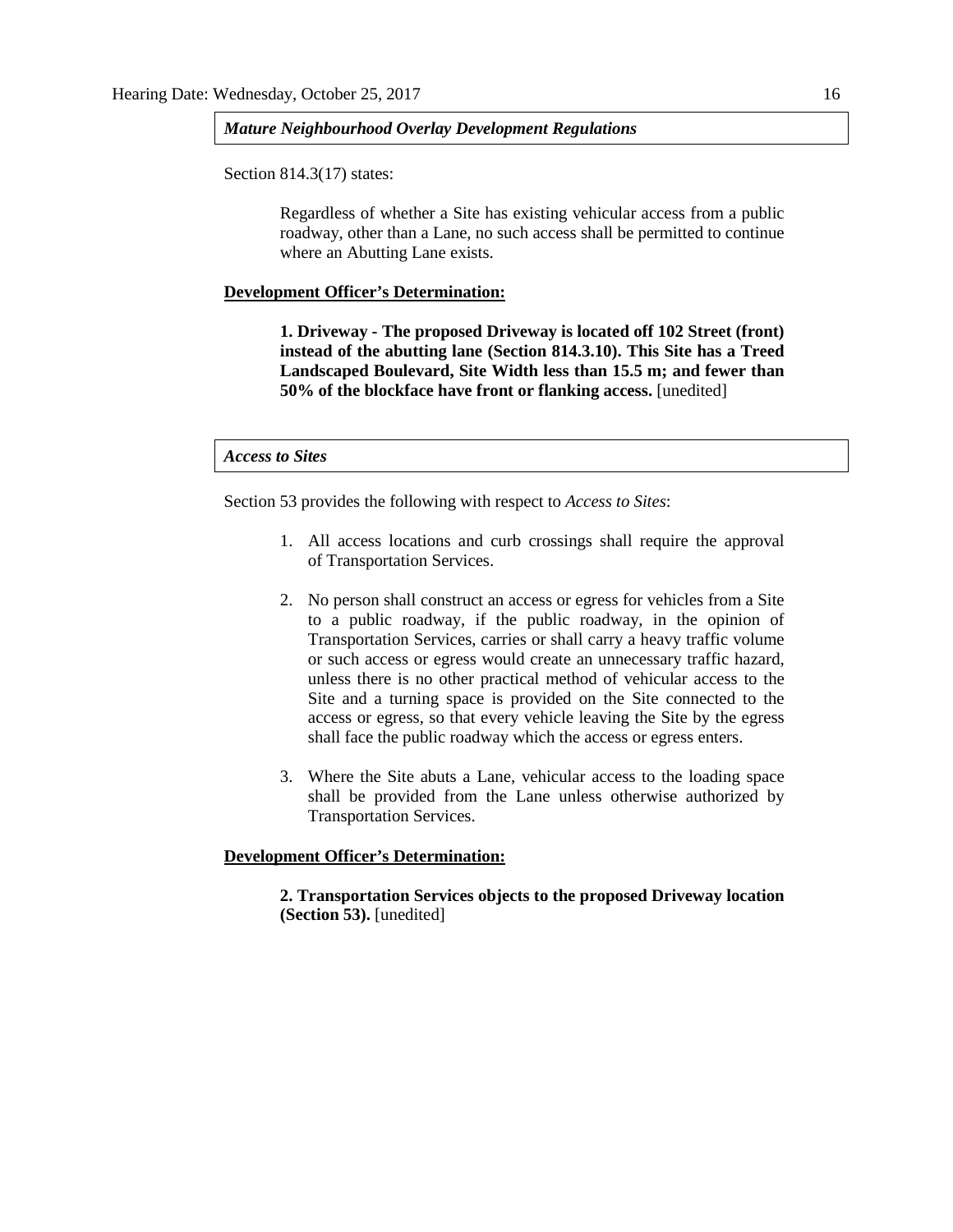### *Mature Neighbourhood Overlay Development Regulations*

Section 814.3(17) states:

Regardless of whether a Site has existing vehicular access from a public roadway, other than a Lane, no such access shall be permitted to continue where an Abutting Lane exists.

## **Development Officer's Determination:**

**1. Driveway - The proposed Driveway is located off 102 Street (front) instead of the abutting lane (Section 814.3.10). This Site has a Treed Landscaped Boulevard, Site Width less than 15.5 m; and fewer than 50% of the blockface have front or flanking access.** [unedited]

# *Access to Sites*

Section 53 provides the following with respect to *Access to Sites*:

- 1. All access locations and curb crossings shall require the approval of Transportation Services.
- 2. No person shall construct an access or egress for vehicles from a Site to a public roadway, if the public roadway, in the opinion of Transportation Services, carries or shall carry a heavy traffic volume or such access or egress would create an unnecessary traffic hazard, unless there is no other practical method of vehicular access to the Site and a turning space is provided on the Site connected to the access or egress, so that every vehicle leaving the Site by the egress shall face the public roadway which the access or egress enters.
- 3. Where the Site abuts a Lane, vehicular access to the loading space shall be provided from the Lane unless otherwise authorized by Transportation Services.

# **Development Officer's Determination:**

**2. Transportation Services objects to the proposed Driveway location (Section 53).** [unedited]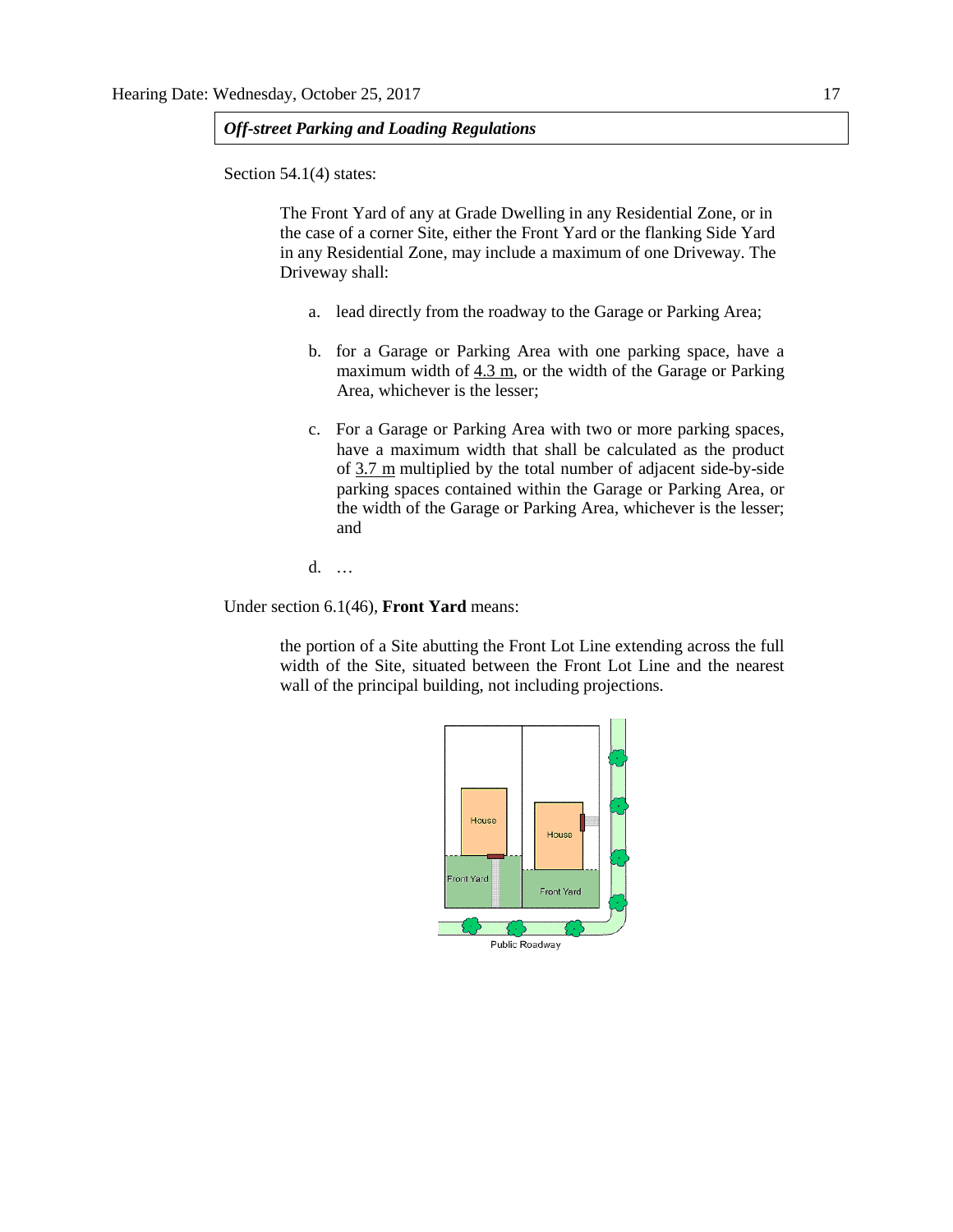# *Off-street Parking and Loading Regulations*

Section 54.1(4) states:

The Front Yard of any at Grade Dwelling in any Residential Zone, or in the case of a corner Site, either the Front Yard or the flanking Side Yard in any Residential Zone, may include a maximum of one Driveway. The Driveway shall:

- a. lead directly from the roadway to the Garage or Parking Area;
- b. for a Garage or Parking Area with one parking space, have a maximum width of  $4.3$  m, or the width of the Garage or Parking Area, whichever is the lesser;
- c. For a Garage or Parking Area with two or more parking spaces, have a maximum width that shall be calculated as the product of [3.7 m](javascript:void(0);) multiplied by the total number of adjacent side-by-side parking spaces contained within the Garage or Parking Area, or the width of the Garage or Parking Area, whichever is the lesser; and

d. …

Under section 6.1(46), **Front Yard** means:

the portion of a Site abutting the Front Lot Line extending across the full width of the Site, situated between the Front Lot Line and the nearest wall of the principal building, not including projections.

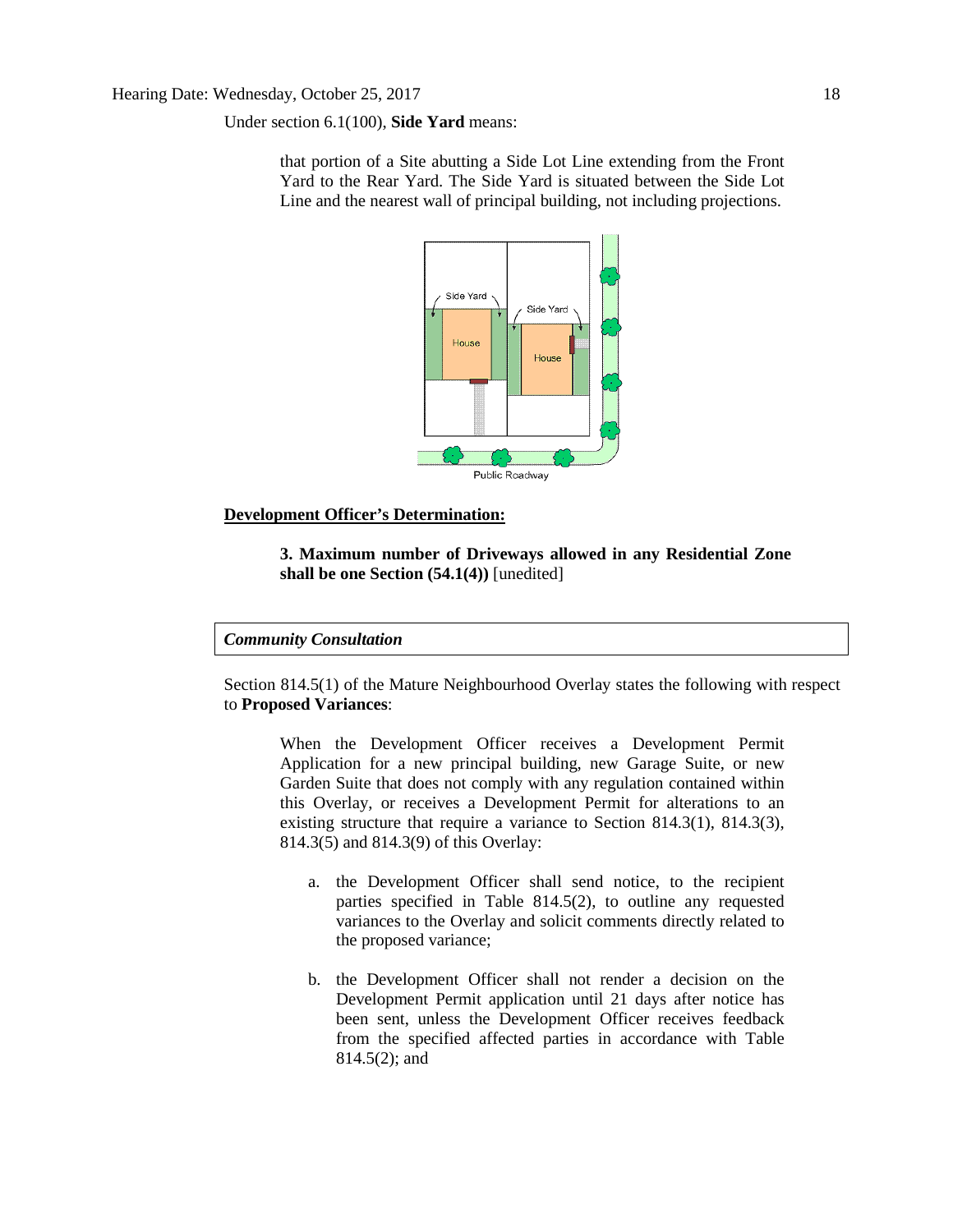Under section 6.1(100), **Side Yard** means:

that portion of a Site abutting a Side Lot Line extending from the Front Yard to the Rear Yard. The Side Yard is situated between the Side Lot Line and the nearest wall of principal building, not including projections.



# **Development Officer's Determination:**

# **3. Maximum number of Driveways allowed in any Residential Zone shall be one Section (54.1(4))** [unedited]

# *Community Consultation*

Section 814.5(1) of the Mature Neighbourhood Overlay states the following with respect to **Proposed Variances**:

When the Development Officer receives a Development Permit Application for a new principal building, new Garage Suite, or new Garden Suite that does not comply with any regulation contained within this Overlay, or receives a Development Permit for alterations to an existing structure that require a variance to Section 814.3(1), 814.3(3), 814.3(5) and 814.3(9) of this Overlay:

- a. the Development Officer shall send notice, to the recipient parties specified in Table 814.5(2), to outline any requested variances to the Overlay and solicit comments directly related to the proposed variance;
- b. the Development Officer shall not render a decision on the Development Permit application until 21 days after notice has been sent, unless the Development Officer receives feedback from the specified affected parties in accordance with Table 814.5(2); and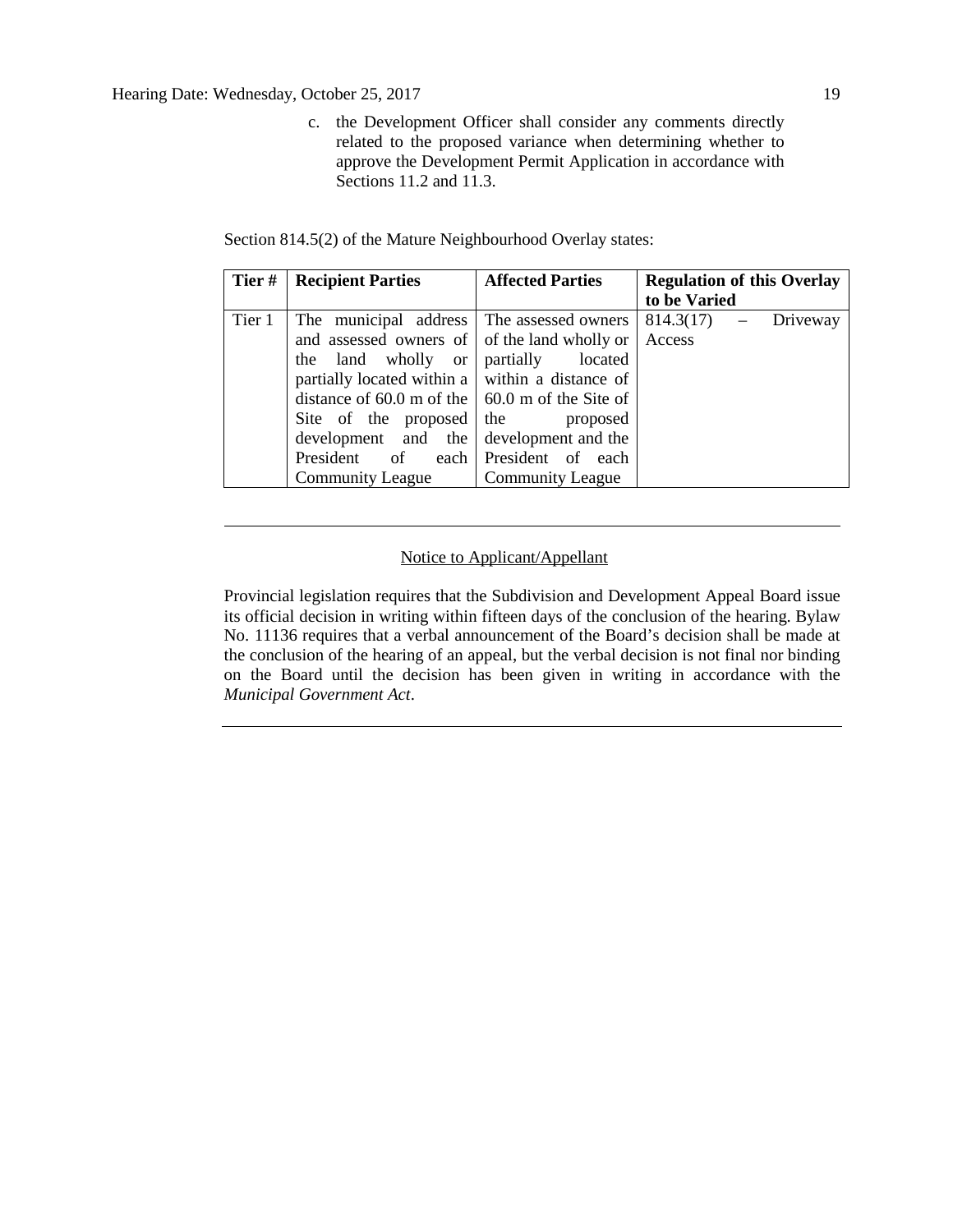# Hearing Date: Wednesday, October 25, 2017 19

c. the Development Officer shall consider any comments directly related to the proposed variance when determining whether to approve the Development Permit Application in accordance with Sections 11.2 and 11.3.

|  |  | Section 814.5(2) of the Mature Neighbourhood Overlay states: |  |
|--|--|--------------------------------------------------------------|--|
|  |  |                                                              |  |

| Tier#  | <b>Recipient Parties</b>                                | <b>Affected Parties</b> | <b>Regulation of this Overlay</b> |  |
|--------|---------------------------------------------------------|-------------------------|-----------------------------------|--|
|        |                                                         |                         | to be Varied                      |  |
| Tier 1 | The municipal address The assessed owners               |                         | $814.3(17) -$<br>Driveway         |  |
|        | and assessed owners of of the land wholly or            |                         | Access                            |  |
|        | land wholly or<br>the                                   | partially<br>located    |                                   |  |
|        | partially located within a $\vert$ within a distance of |                         |                                   |  |
|        | distance of 60.0 m of the $\vert$ 60.0 m of the Site of |                         |                                   |  |
|        | Site of the proposed                                    | the<br>proposed         |                                   |  |
|        | development and the                                     | development and the     |                                   |  |
|        | President<br>of<br>each                                 | President of each       |                                   |  |
|        | <b>Community League</b>                                 | <b>Community League</b> |                                   |  |

# Notice to Applicant/Appellant

Provincial legislation requires that the Subdivision and Development Appeal Board issue its official decision in writing within fifteen days of the conclusion of the hearing. Bylaw No. 11136 requires that a verbal announcement of the Board's decision shall be made at the conclusion of the hearing of an appeal, but the verbal decision is not final nor binding on the Board until the decision has been given in writing in accordance with the *Municipal Government Act*.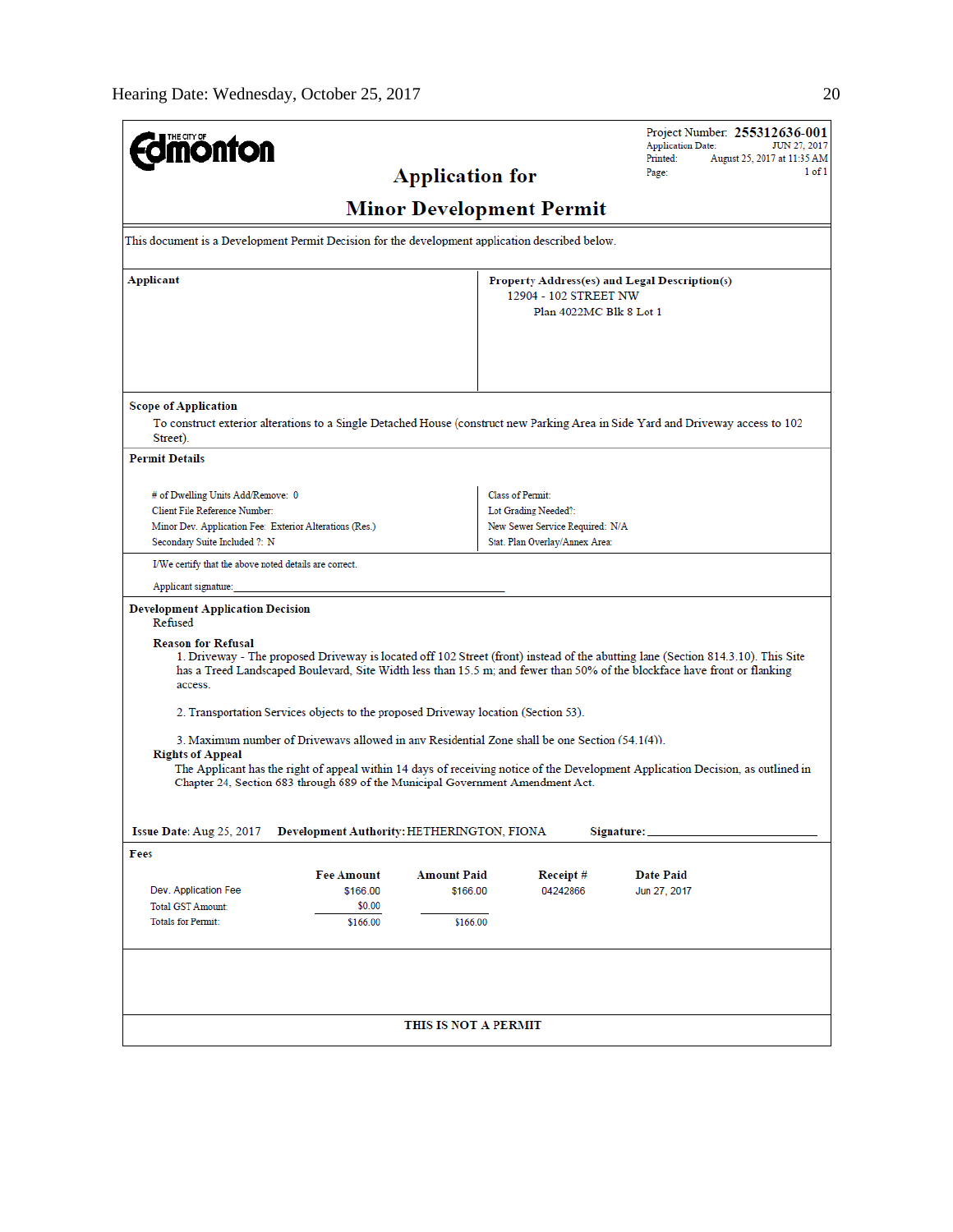| <b>mönton</b>                                                                                                                                                                                                                                                                                                                                   | Project Number: 255312636-001<br><b>Application Date:</b><br><b>JUN 27, 2017</b><br>Printed:                                                                                                                                                                  |  |  |  |  |  |  |
|-------------------------------------------------------------------------------------------------------------------------------------------------------------------------------------------------------------------------------------------------------------------------------------------------------------------------------------------------|---------------------------------------------------------------------------------------------------------------------------------------------------------------------------------------------------------------------------------------------------------------|--|--|--|--|--|--|
| <b>Application for</b>                                                                                                                                                                                                                                                                                                                          | August 25, 2017 at 11:35 AM<br>$1$ of $1$<br>Page:                                                                                                                                                                                                            |  |  |  |  |  |  |
| <b>Minor Development Permit</b>                                                                                                                                                                                                                                                                                                                 |                                                                                                                                                                                                                                                               |  |  |  |  |  |  |
| This document is a Development Permit Decision for the development application described below.                                                                                                                                                                                                                                                 |                                                                                                                                                                                                                                                               |  |  |  |  |  |  |
| Applicant                                                                                                                                                                                                                                                                                                                                       | Property Address(es) and Legal Description(s)<br>12904 - 102 STREET NW<br>Plan 4022MC Blk 8 Lot 1                                                                                                                                                             |  |  |  |  |  |  |
| <b>Scope of Application</b><br>Street).                                                                                                                                                                                                                                                                                                         | To construct exterior alterations to a Single Detached House (construct new Parking Area in Side Yard and Driveway access to 102                                                                                                                              |  |  |  |  |  |  |
| <b>Permit Details</b>                                                                                                                                                                                                                                                                                                                           |                                                                                                                                                                                                                                                               |  |  |  |  |  |  |
| # of Dwelling Units Add/Remove: 0<br>Client File Reference Number:<br>Minor Dev. Application Fee: Exterior Alterations (Res.)<br>Secondary Suite Included ?: N                                                                                                                                                                                  | <b>Class of Permit:</b><br>Lot Grading Needed?:<br>New Sewer Service Required: N/A<br>Stat. Plan Overlay/Annex Area:                                                                                                                                          |  |  |  |  |  |  |
| I/We certify that the above noted details are correct.                                                                                                                                                                                                                                                                                          |                                                                                                                                                                                                                                                               |  |  |  |  |  |  |
| Applicant signature:                                                                                                                                                                                                                                                                                                                            |                                                                                                                                                                                                                                                               |  |  |  |  |  |  |
| <b>Development Application Decision</b><br>Refused                                                                                                                                                                                                                                                                                              |                                                                                                                                                                                                                                                               |  |  |  |  |  |  |
| <b>Reason for Refusal</b><br>access.                                                                                                                                                                                                                                                                                                            | 1. Driveway - The proposed Driveway is located off 102 Street (front) instead of the abutting lane (Section 814.3.10). This Site<br>has a Treed Landscaped Boulevard, Site Width less than 15.5 m; and fewer than 50% of the blockface have front or flanking |  |  |  |  |  |  |
| 2. Transportation Services objects to the proposed Driveway location (Section 53).                                                                                                                                                                                                                                                              |                                                                                                                                                                                                                                                               |  |  |  |  |  |  |
| 3. Maximum number of Driveways allowed in any Residential Zone shall be one Section (54.1(4)).<br><b>Rights of Appeal</b><br>The Applicant has the right of appeal within 14 days of receiving notice of the Development Application Decision, as outlined in<br>Chapter 24, Section 683 through 689 of the Municipal Government Amendment Act. |                                                                                                                                                                                                                                                               |  |  |  |  |  |  |
|                                                                                                                                                                                                                                                                                                                                                 |                                                                                                                                                                                                                                                               |  |  |  |  |  |  |
| Issue Date: Aug 25, 2017<br>Development Authority: HETHERINGTON, FIONA<br>Signature:<br>Fees                                                                                                                                                                                                                                                    |                                                                                                                                                                                                                                                               |  |  |  |  |  |  |
| <b>Fee Amount</b><br><b>Amount Paid</b><br>Dev. Application Fee<br>\$166.00<br>\$166.00<br><b>Total GST Amount:</b><br>\$0.00                                                                                                                                                                                                                   | Receipt#<br>Date Paid<br>04242866<br>Jun 27, 2017                                                                                                                                                                                                             |  |  |  |  |  |  |
| <b>Totals for Permit:</b><br>\$166.00<br>\$166.00                                                                                                                                                                                                                                                                                               |                                                                                                                                                                                                                                                               |  |  |  |  |  |  |
|                                                                                                                                                                                                                                                                                                                                                 |                                                                                                                                                                                                                                                               |  |  |  |  |  |  |
| THIS IS NOT A PERMIT                                                                                                                                                                                                                                                                                                                            |                                                                                                                                                                                                                                                               |  |  |  |  |  |  |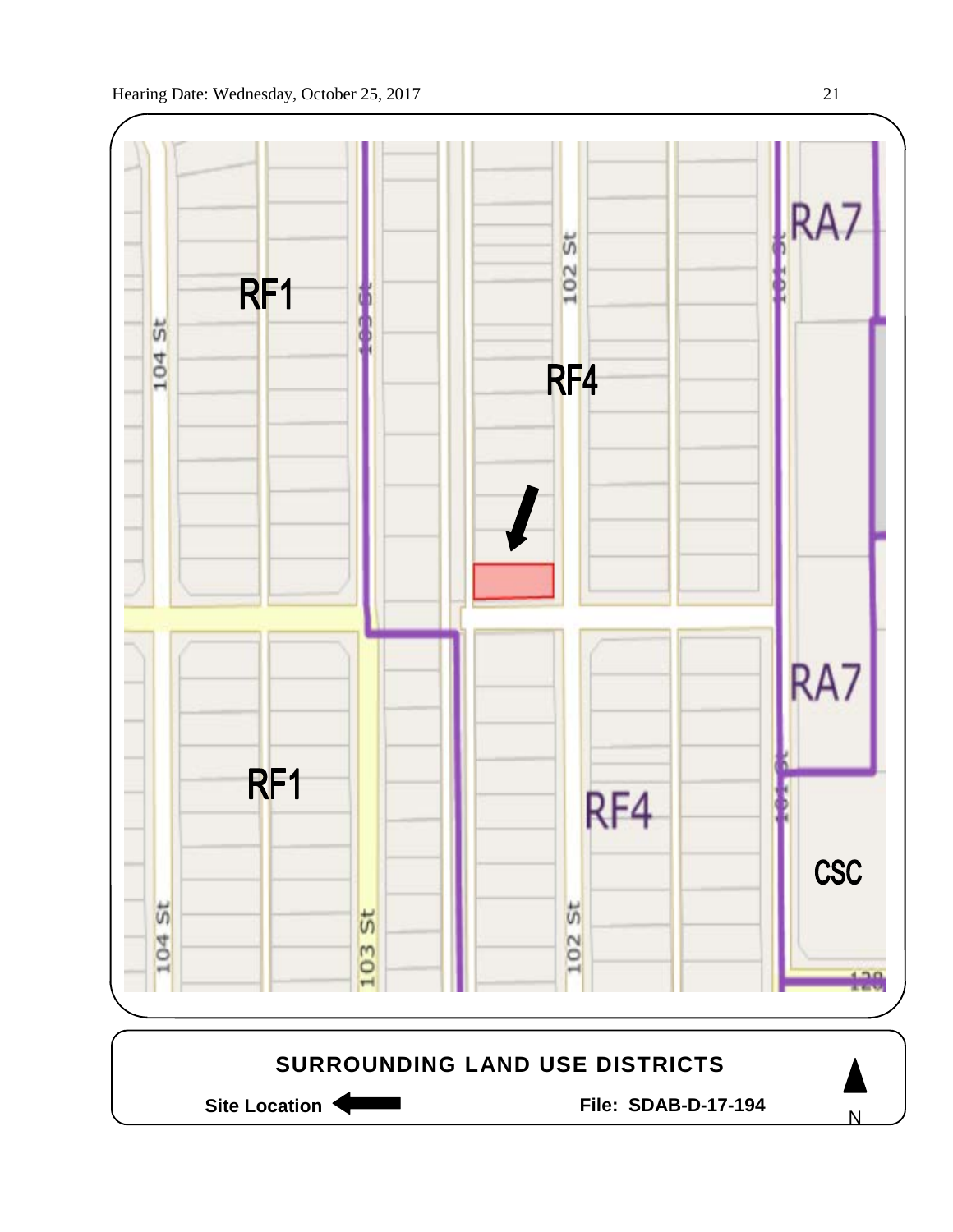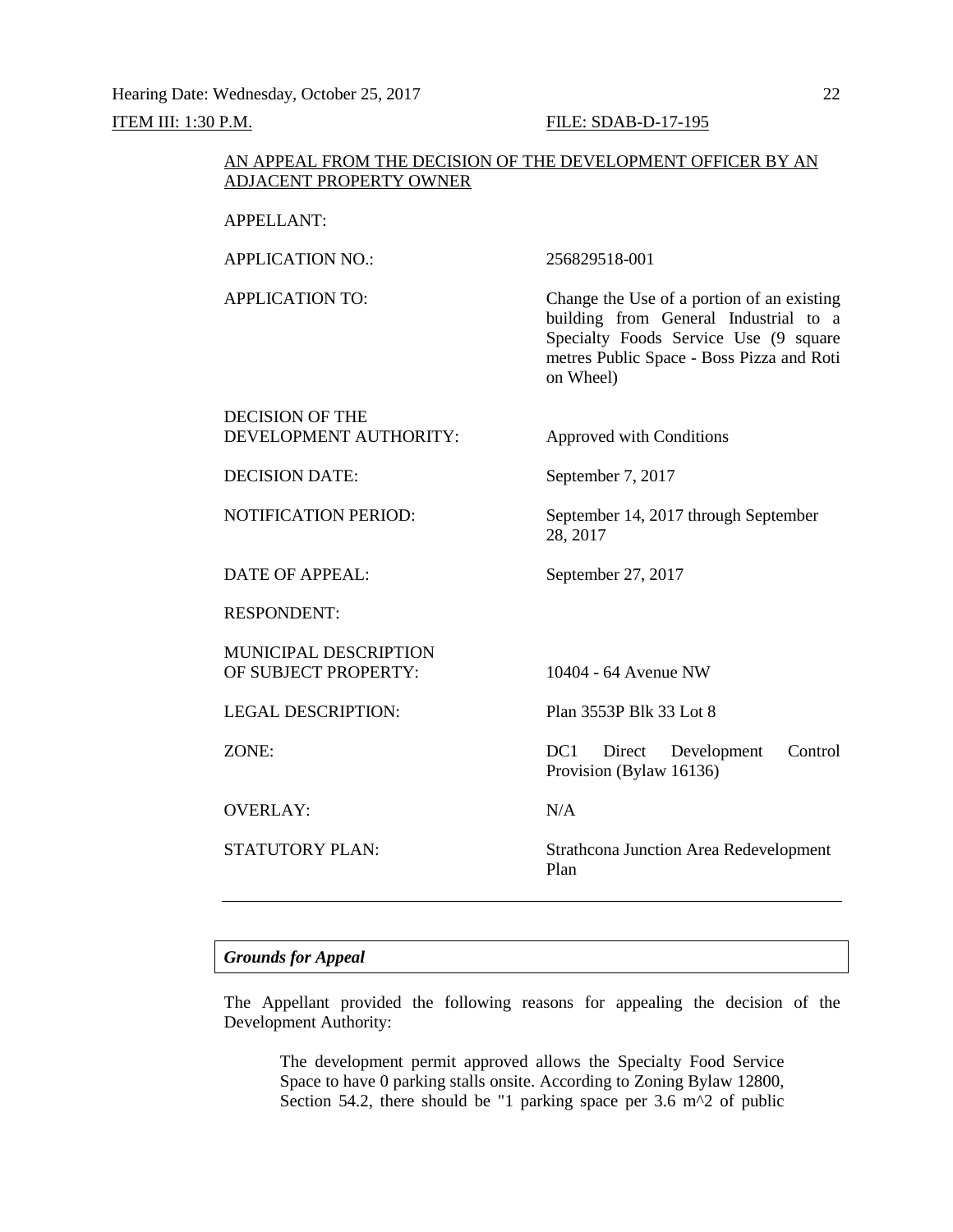Hearing Date: Wednesday, October 25, 2017 22 ITEM III: 1:30 P.M. FILE: SDAB-D-17-195

# AN APPEAL FROM THE DECISION OF THE DEVELOPMENT OFFICER BY AN ADJACENT PROPERTY OWNER

# APPELLANT:

APPLICATION NO.: 256829518-001

APPLICATION TO: Change the Use of a portion of an existing building from General Industrial to a Specialty Foods Service Use (9 square metres Public Space - Boss Pizza and Roti on Wheel)

# DECISION OF THE DEVELOPMENT AUTHORITY: Approved with Conditions

28, 2017

DECISION DATE: September 7, 2017

NOTIFICATION PERIOD: September 14, 2017 through September

DATE OF APPEAL: September 27, 2017

RESPONDENT:

MUNICIPAL DESCRIPTION OF SUBJECT PROPERTY: 10404 - 64 Avenue NW

LEGAL DESCRIPTION: Plan 3553P Blk 33 Lot 8

OVERLAY: N/A

ZONE: DC1 Direct Development Control Provision (Bylaw 16136)

STATUTORY PLAN: Strathcona Junction Area Redevelopment Plan

## *Grounds for Appeal*

The Appellant provided the following reasons for appealing the decision of the Development Authority:

The development permit approved allows the Specialty Food Service Space to have 0 parking stalls onsite. According to Zoning Bylaw 12800, Section 54.2, there should be "1 parking space per 3.6 m<sup> $\lambda$ </sup>2 of public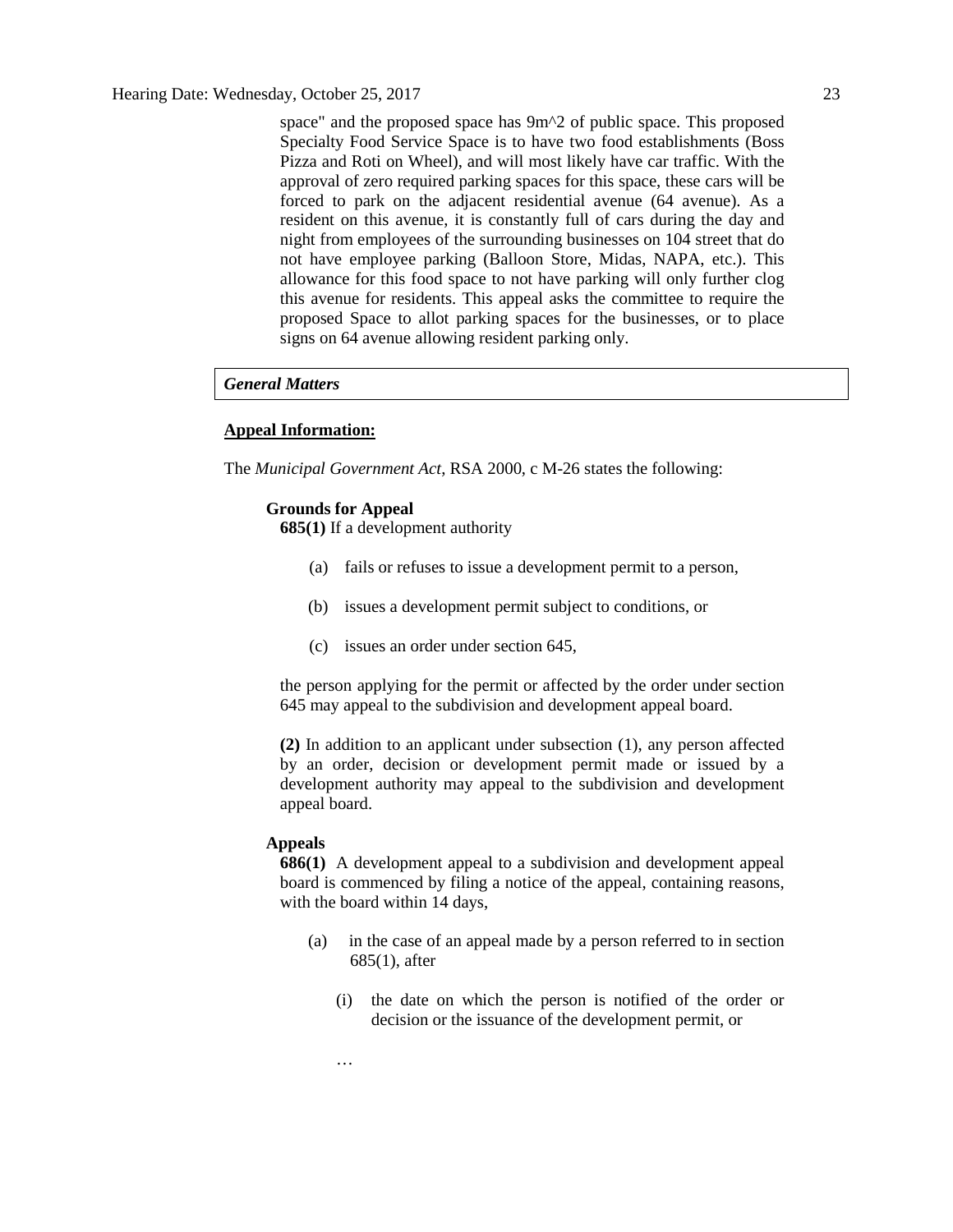space" and the proposed space has 9m^2 of public space. This proposed Specialty Food Service Space is to have two food establishments (Boss Pizza and Roti on Wheel), and will most likely have car traffic. With the approval of zero required parking spaces for this space, these cars will be forced to park on the adjacent residential avenue (64 avenue). As a resident on this avenue, it is constantly full of cars during the day and night from employees of the surrounding businesses on 104 street that do not have employee parking (Balloon Store, Midas, NAPA, etc.). This allowance for this food space to not have parking will only further clog this avenue for residents. This appeal asks the committee to require the proposed Space to allot parking spaces for the businesses, or to place signs on 64 avenue allowing resident parking only.

# *General Matters*

# **Appeal Information:**

The *Municipal Government Act*, RSA 2000, c M-26 states the following:

# **Grounds for Appeal**

**685(1)** If a development authority

- (a) fails or refuses to issue a development permit to a person,
- (b) issues a development permit subject to conditions, or
- (c) issues an order under section 645,

the person applying for the permit or affected by the order under section 645 may appeal to the subdivision and development appeal board.

**(2)** In addition to an applicant under subsection (1), any person affected by an order, decision or development permit made or issued by a development authority may appeal to the subdivision and development appeal board.

# **Appeals**

…

**686(1)** A development appeal to a subdivision and development appeal board is commenced by filing a notice of the appeal, containing reasons, with the board within 14 days,

- (a) in the case of an appeal made by a person referred to in section 685(1), after
	- (i) the date on which the person is notified of the order or decision or the issuance of the development permit, or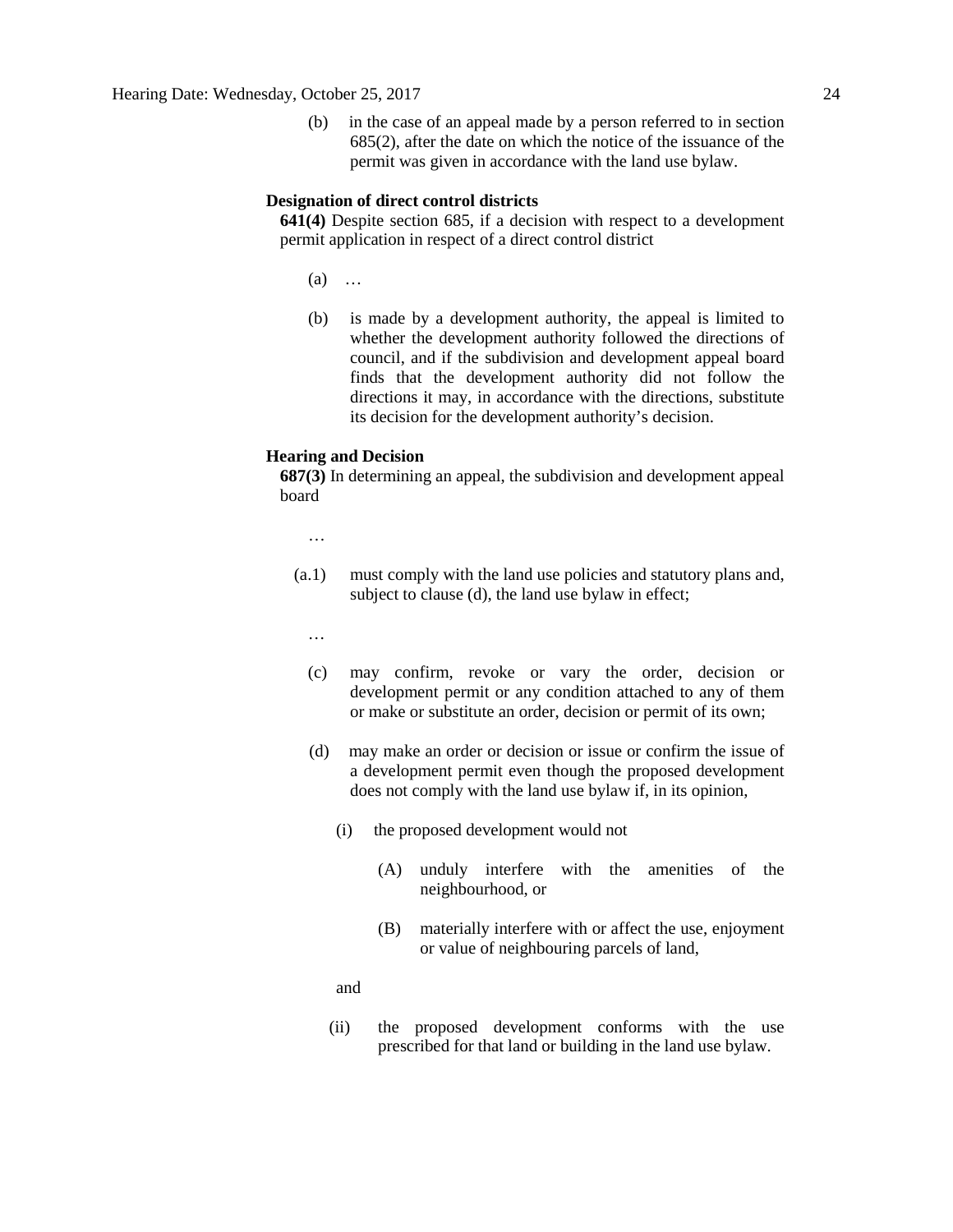(b) in the case of an appeal made by a person referred to in section 685(2), after the date on which the notice of the issuance of the permit was given in accordance with the land use bylaw.

# **Designation of direct control districts**

**641(4)** Despite section 685, if a decision with respect to a development permit application in respect of a direct control district

- (a) …
- (b) is made by a development authority, the appeal is limited to whether the development authority followed the directions of council, and if the subdivision and development appeal board finds that the development authority did not follow the directions it may, in accordance with the directions, substitute its decision for the development authority's decision.

#### **Hearing and Decision**

**687(3)** In determining an appeal, the subdivision and development appeal board

…

- (a.1) must comply with the land use policies and statutory plans and, subject to clause (d), the land use bylaw in effect;
	- …
	- (c) may confirm, revoke or vary the order, decision or development permit or any condition attached to any of them or make or substitute an order, decision or permit of its own;
	- (d) may make an order or decision or issue or confirm the issue of a development permit even though the proposed development does not comply with the land use bylaw if, in its opinion,
		- (i) the proposed development would not
			- (A) unduly interfere with the amenities of the neighbourhood, or
			- (B) materially interfere with or affect the use, enjoyment or value of neighbouring parcels of land,

and

(ii) the proposed development conforms with the use prescribed for that land or building in the land use bylaw.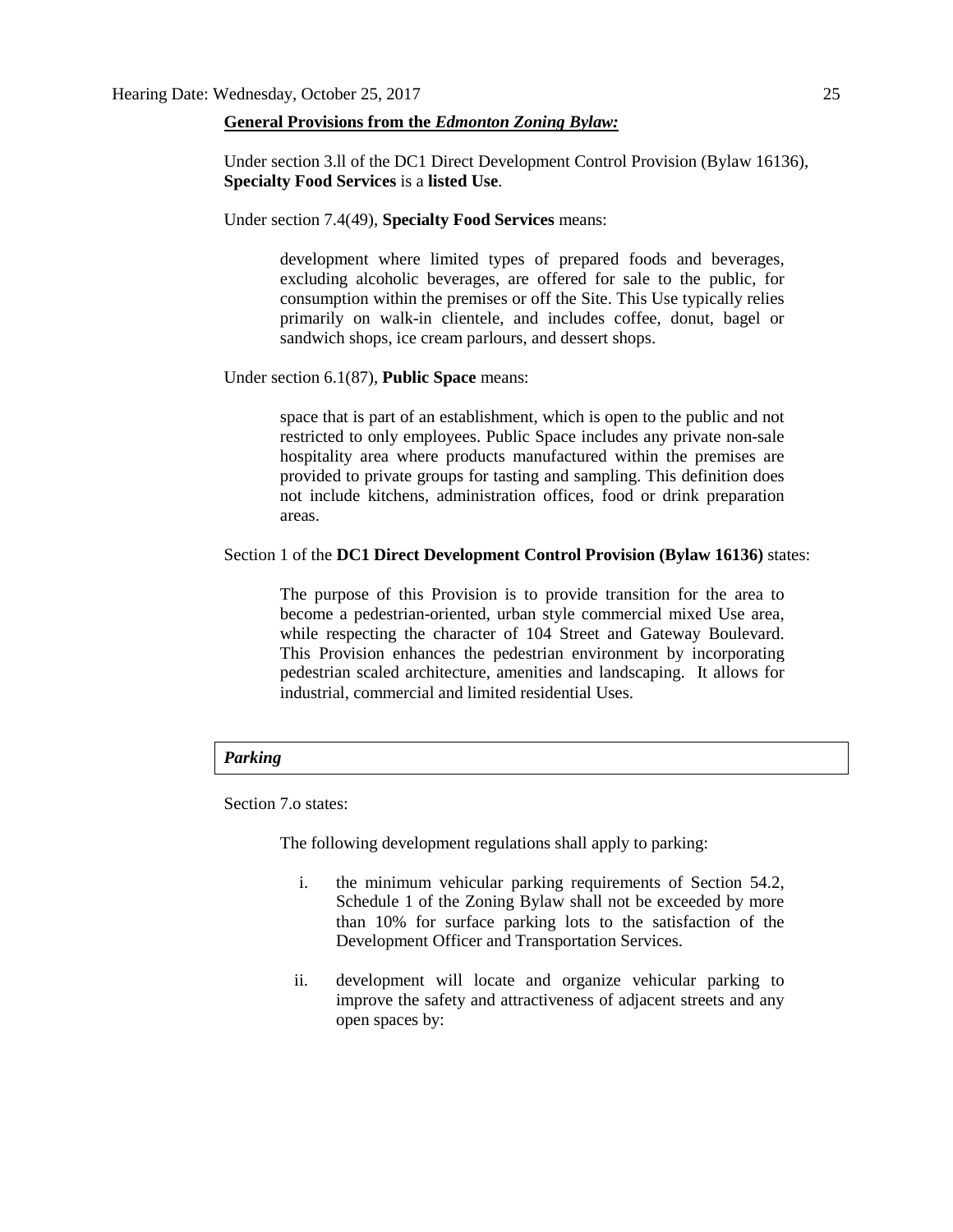## **General Provisions from the** *Edmonton Zoning Bylaw:*

Under section 3.ll of the DC1 Direct Development Control Provision (Bylaw 16136), **Specialty Food Services** is a **listed Use**.

Under section 7.4(49), **Specialty Food Services** means:

development where limited types of prepared foods and beverages, excluding alcoholic beverages, are offered for sale to the public, for consumption within the premises or off the Site. This Use typically relies primarily on walk-in clientele, and includes coffee, donut, bagel or sandwich shops, ice cream parlours, and dessert shops.

Under section 6.1(87), **Public Space** means:

space that is part of an establishment, which is open to the public and not restricted to only employees. Public Space includes any private non-sale hospitality area where products manufactured within the premises are provided to private groups for tasting and sampling. This definition does not include kitchens, administration offices, food or drink preparation areas.

# Section 1 of the **DC1 Direct Development Control Provision (Bylaw 16136)** states:

The purpose of this Provision is to provide transition for the area to become a pedestrian-oriented, urban style commercial mixed Use area, while respecting the character of 104 Street and Gateway Boulevard. This Provision enhances the pedestrian environment by incorporating pedestrian scaled architecture, amenities and landscaping. It allows for industrial, commercial and limited residential Uses.

# *Parking*

Section 7.o states:

The following development regulations shall apply to parking:

- i. the minimum vehicular parking requirements of Section 54.2, Schedule 1 of the Zoning Bylaw shall not be exceeded by more than 10% for surface parking lots to the satisfaction of the Development Officer and Transportation Services.
- ii. development will locate and organize vehicular parking to improve the safety and attractiveness of adjacent streets and any open spaces by: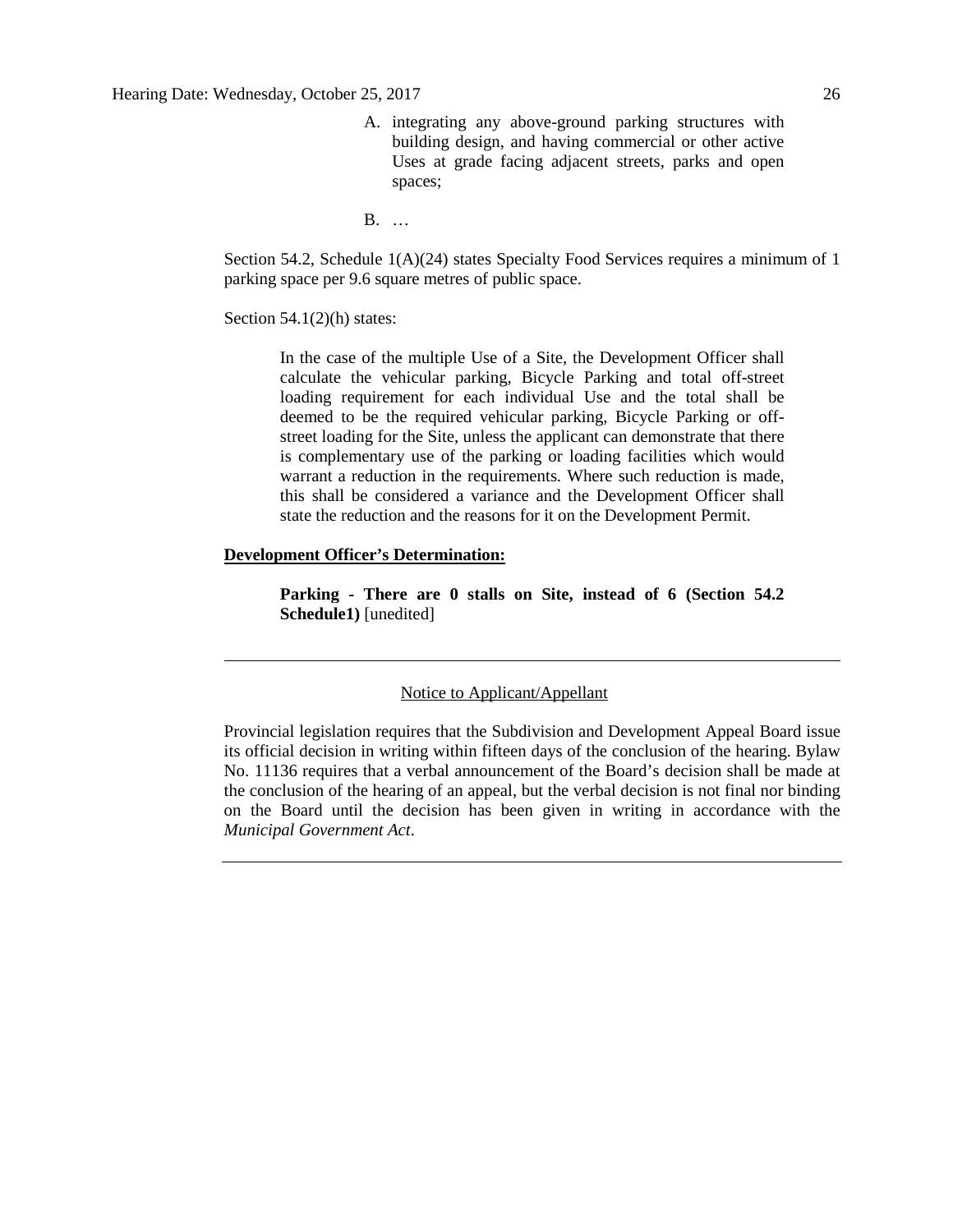A. integrating any above-ground parking structures with building design, and having commercial or other active Uses at grade facing adjacent streets, parks and open spaces;

B. …

Section 54.2, Schedule 1(A)(24) states Specialty Food Services requires a minimum of 1 parking space per 9.6 square metres of public space.

Section  $54.1(2)$ (h) states:

In the case of the multiple Use of a Site, the Development Officer shall calculate the vehicular parking, Bicycle Parking and total off-street loading requirement for each individual Use and the total shall be deemed to be the required vehicular parking, Bicycle Parking or offstreet loading for the Site, unless the applicant can demonstrate that there is complementary use of the parking or loading facilities which would warrant a reduction in the requirements. Where such reduction is made, this shall be considered a variance and the Development Officer shall state the reduction and the reasons for it on the Development Permit.

# **Development Officer's Determination:**

**Parking - There are 0 stalls on Site, instead of 6 (Section 54.2 Schedule1)** [unedited]

# Notice to Applicant/Appellant

Provincial legislation requires that the Subdivision and Development Appeal Board issue its official decision in writing within fifteen days of the conclusion of the hearing. Bylaw No. 11136 requires that a verbal announcement of the Board's decision shall be made at the conclusion of the hearing of an appeal, but the verbal decision is not final nor binding on the Board until the decision has been given in writing in accordance with the *Municipal Government Act*.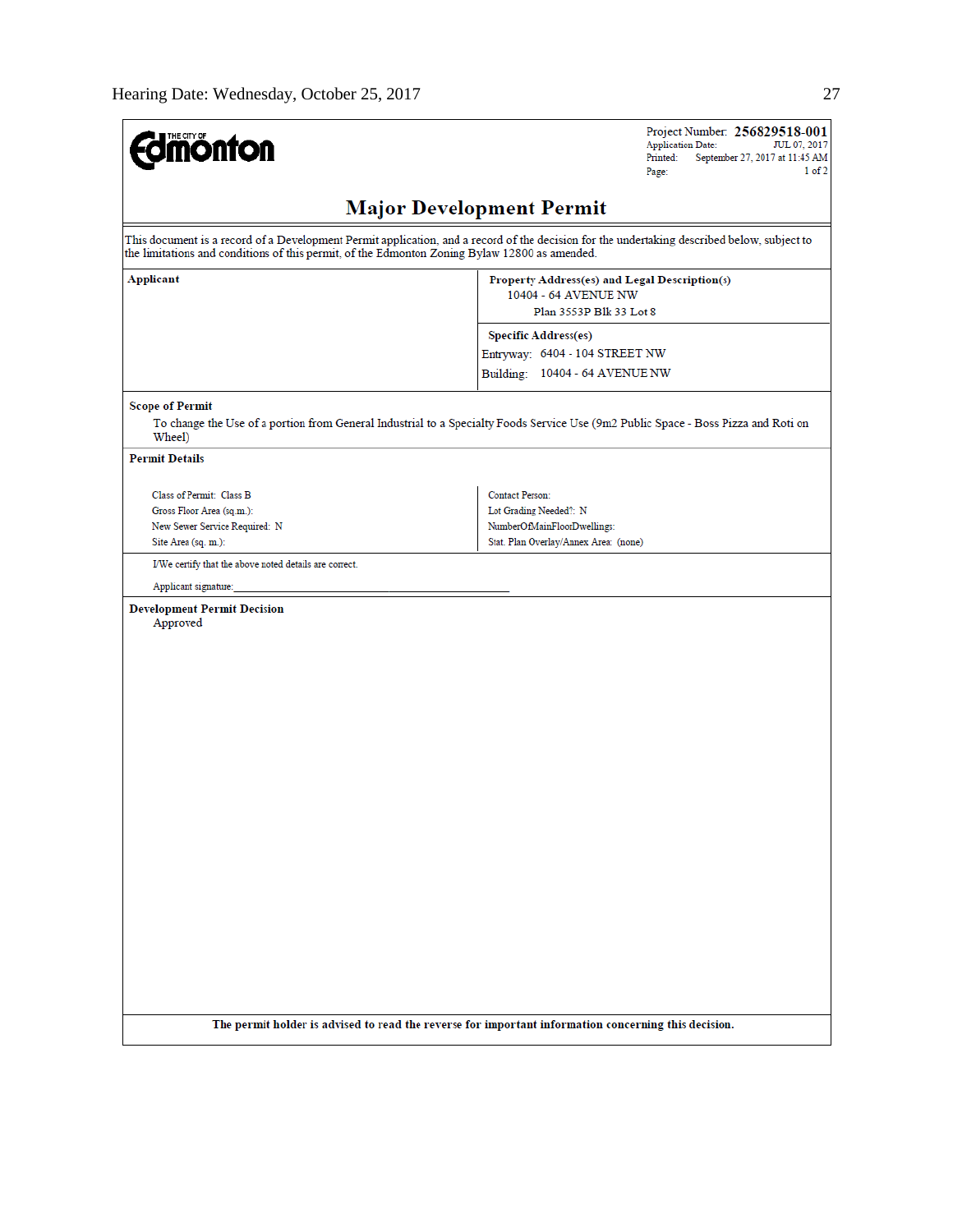| <b>Major Development Permit</b><br>This document is a record of a Development Permit application, and a record of the decision for the undertaking described below, subject to<br>the limitations and conditions of this permit, of the Edmonton Zoning Bylaw 12800 as amended.<br>Property Address(es) and Legal Description(s)<br>10404 - 64 AVENUE NW<br>Plan 3553P Blk 33 Lot 8<br><b>Specific Address(es)</b><br>Entryway: 6404 - 104 STREET NW<br>Building: 10404 - 64 AVENUE NW<br><b>Scope of Permit</b><br>To change the Use of a portion from General Industrial to a Specialty Foods Service Use (9m2 Public Space - Boss Pizza and Roti on<br>Wheel)<br><b>Permit Details</b><br><b>Contact Person:</b><br>Class of Permit: Class B<br>Lot Grading Needed?: N<br>Gross Floor Area (sq.m.):<br>NumberOfMainFloorDwellings:<br>New Sewer Service Required: N<br>Stat. Plan Overlay/Annex Area: (none)<br>Site Area (sq. m.):<br>I/We certify that the above noted details are correct.<br>Applicant signature:<br><b>Development Permit Decision</b><br>Approved<br>The permit holder is advised to read the reverse for important information concerning this decision. | <b>dmönton</b>   | Project Number: 256829518-001<br><b>Application Date:</b><br>JUL 07, 2017<br>September 27, 2017 at 11:45 AM<br>Printed:<br>1 of 2<br>Page: |
|------------------------------------------------------------------------------------------------------------------------------------------------------------------------------------------------------------------------------------------------------------------------------------------------------------------------------------------------------------------------------------------------------------------------------------------------------------------------------------------------------------------------------------------------------------------------------------------------------------------------------------------------------------------------------------------------------------------------------------------------------------------------------------------------------------------------------------------------------------------------------------------------------------------------------------------------------------------------------------------------------------------------------------------------------------------------------------------------------------------------------------------------------------------------------------|------------------|--------------------------------------------------------------------------------------------------------------------------------------------|
|                                                                                                                                                                                                                                                                                                                                                                                                                                                                                                                                                                                                                                                                                                                                                                                                                                                                                                                                                                                                                                                                                                                                                                                    |                  |                                                                                                                                            |
|                                                                                                                                                                                                                                                                                                                                                                                                                                                                                                                                                                                                                                                                                                                                                                                                                                                                                                                                                                                                                                                                                                                                                                                    |                  |                                                                                                                                            |
|                                                                                                                                                                                                                                                                                                                                                                                                                                                                                                                                                                                                                                                                                                                                                                                                                                                                                                                                                                                                                                                                                                                                                                                    | <b>Applicant</b> |                                                                                                                                            |
|                                                                                                                                                                                                                                                                                                                                                                                                                                                                                                                                                                                                                                                                                                                                                                                                                                                                                                                                                                                                                                                                                                                                                                                    |                  |                                                                                                                                            |
|                                                                                                                                                                                                                                                                                                                                                                                                                                                                                                                                                                                                                                                                                                                                                                                                                                                                                                                                                                                                                                                                                                                                                                                    |                  |                                                                                                                                            |
|                                                                                                                                                                                                                                                                                                                                                                                                                                                                                                                                                                                                                                                                                                                                                                                                                                                                                                                                                                                                                                                                                                                                                                                    |                  |                                                                                                                                            |
|                                                                                                                                                                                                                                                                                                                                                                                                                                                                                                                                                                                                                                                                                                                                                                                                                                                                                                                                                                                                                                                                                                                                                                                    |                  |                                                                                                                                            |
|                                                                                                                                                                                                                                                                                                                                                                                                                                                                                                                                                                                                                                                                                                                                                                                                                                                                                                                                                                                                                                                                                                                                                                                    |                  |                                                                                                                                            |
|                                                                                                                                                                                                                                                                                                                                                                                                                                                                                                                                                                                                                                                                                                                                                                                                                                                                                                                                                                                                                                                                                                                                                                                    |                  |                                                                                                                                            |
|                                                                                                                                                                                                                                                                                                                                                                                                                                                                                                                                                                                                                                                                                                                                                                                                                                                                                                                                                                                                                                                                                                                                                                                    |                  |                                                                                                                                            |
|                                                                                                                                                                                                                                                                                                                                                                                                                                                                                                                                                                                                                                                                                                                                                                                                                                                                                                                                                                                                                                                                                                                                                                                    |                  |                                                                                                                                            |
|                                                                                                                                                                                                                                                                                                                                                                                                                                                                                                                                                                                                                                                                                                                                                                                                                                                                                                                                                                                                                                                                                                                                                                                    |                  |                                                                                                                                            |
|                                                                                                                                                                                                                                                                                                                                                                                                                                                                                                                                                                                                                                                                                                                                                                                                                                                                                                                                                                                                                                                                                                                                                                                    |                  |                                                                                                                                            |
|                                                                                                                                                                                                                                                                                                                                                                                                                                                                                                                                                                                                                                                                                                                                                                                                                                                                                                                                                                                                                                                                                                                                                                                    |                  |                                                                                                                                            |
|                                                                                                                                                                                                                                                                                                                                                                                                                                                                                                                                                                                                                                                                                                                                                                                                                                                                                                                                                                                                                                                                                                                                                                                    |                  |                                                                                                                                            |
|                                                                                                                                                                                                                                                                                                                                                                                                                                                                                                                                                                                                                                                                                                                                                                                                                                                                                                                                                                                                                                                                                                                                                                                    |                  |                                                                                                                                            |
|                                                                                                                                                                                                                                                                                                                                                                                                                                                                                                                                                                                                                                                                                                                                                                                                                                                                                                                                                                                                                                                                                                                                                                                    |                  |                                                                                                                                            |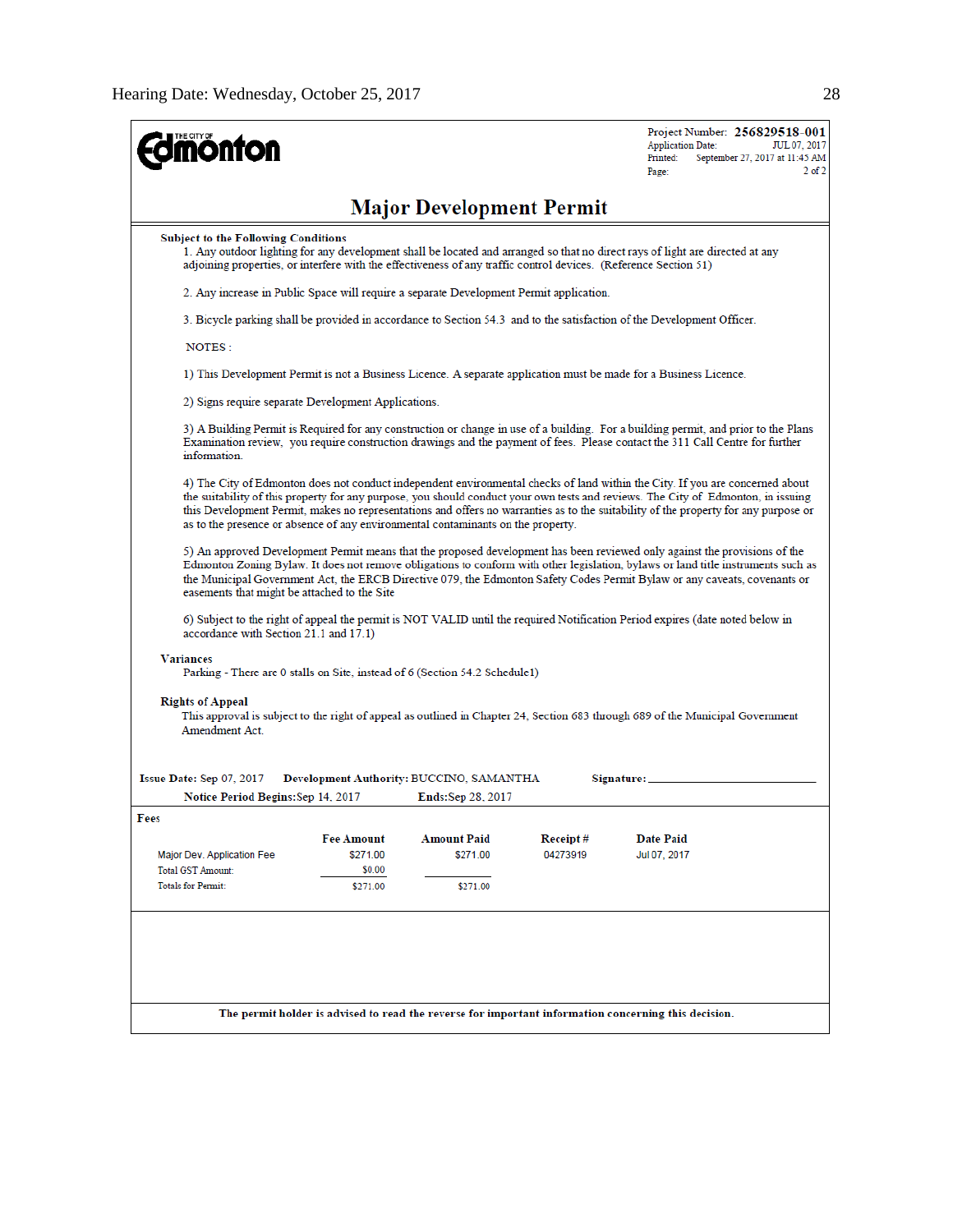| <b>ionton</b>                                                                                                                                                                                                               |                    |                                          |          | Project Number: 256829518-001<br><b>Application Date:</b><br>JUL 07, 2017<br>Printed:<br>September 27, 2017 at 11:45 AM<br>$2$ of $2$<br>Page:                                                                                                                                                                                                                                                            |  |  |  |                                                     |  |  |  |                                                                                                                   |
|-----------------------------------------------------------------------------------------------------------------------------------------------------------------------------------------------------------------------------|--------------------|------------------------------------------|----------|-----------------------------------------------------------------------------------------------------------------------------------------------------------------------------------------------------------------------------------------------------------------------------------------------------------------------------------------------------------------------------------------------------------|--|--|--|-----------------------------------------------------|--|--|--|-------------------------------------------------------------------------------------------------------------------|
|                                                                                                                                                                                                                             |                    | <b>Major Development Permit</b>          |          |                                                                                                                                                                                                                                                                                                                                                                                                           |  |  |  |                                                     |  |  |  |                                                                                                                   |
| <b>Subject to the Following Conditions</b><br>adjoining properties, or interfere with the effectiveness of any traffic control devices. (Reference Section 51)                                                              |                    |                                          |          | 1. Any outdoor lighting for any development shall be located and arranged so that no direct rays of light are directed at any                                                                                                                                                                                                                                                                             |  |  |  |                                                     |  |  |  |                                                                                                                   |
| 2. Any increase in Public Space will require a separate Development Permit application.<br>3. Bicycle parking shall be provided in accordance to Section 54.3 and to the satisfaction of the Development Officer.<br>NOTES: |                    |                                          |          |                                                                                                                                                                                                                                                                                                                                                                                                           |  |  |  |                                                     |  |  |  |                                                                                                                   |
|                                                                                                                                                                                                                             |                    |                                          |          |                                                                                                                                                                                                                                                                                                                                                                                                           |  |  |  |                                                     |  |  |  | 1) This Development Permit is not a Business Licence. A separate application must be made for a Business Licence. |
|                                                                                                                                                                                                                             |                    |                                          |          |                                                                                                                                                                                                                                                                                                                                                                                                           |  |  |  | 2) Signs require separate Development Applications. |  |  |  |                                                                                                                   |
| information.                                                                                                                                                                                                                |                    |                                          |          | 3) A Building Permit is Required for any construction or change in use of a building. For a building permit, and prior to the Plans<br>Examination review, you require construction drawings and the payment of fees. Please contact the 311 Call Centre for further                                                                                                                                      |  |  |  |                                                     |  |  |  |                                                                                                                   |
| as to the presence or absence of any environmental contaminants on the property.                                                                                                                                            |                    |                                          |          | 4) The City of Edmonton does not conduct independent environmental checks of land within the City. If you are concerned about<br>the suitability of this property for any purpose, you should conduct your own tests and reviews. The City of Edmonton, in issuing<br>this Development Permit, makes no representations and offers no warranties as to the suitability of the property for any purpose or |  |  |  |                                                     |  |  |  |                                                                                                                   |
| easements that might be attached to the Site                                                                                                                                                                                |                    |                                          |          | 5) An approved Development Permit means that the proposed development has been reviewed only against the provisions of the<br>Edmonton Zoning Bylaw. It does not remove obligations to conform with other legislation, bylaws or land title instruments such as<br>the Municipal Government Act, the ERCB Directive 079, the Edmonton Safety Codes Permit Bylaw or any caveats, covenants or              |  |  |  |                                                     |  |  |  |                                                                                                                   |
| accordance with Section 21.1 and 17.1)                                                                                                                                                                                      |                    |                                          |          | 6) Subject to the right of appeal the permit is NOT VALID until the required Notification Period expires (date noted below in                                                                                                                                                                                                                                                                             |  |  |  |                                                     |  |  |  |                                                                                                                   |
| Variances<br>Parking - There are 0 stalls on Site, instead of 6 (Section 54.2 Schedule1)                                                                                                                                    |                    |                                          |          |                                                                                                                                                                                                                                                                                                                                                                                                           |  |  |  |                                                     |  |  |  |                                                                                                                   |
| <b>Rights of Appeal</b><br>Amendment Act                                                                                                                                                                                    |                    |                                          |          | This approval is subject to the right of appeal as outlined in Chapter 24, Section 683 through 689 of the Municipal Government                                                                                                                                                                                                                                                                            |  |  |  |                                                     |  |  |  |                                                                                                                   |
| Issue Date: Sep 07, 2017                                                                                                                                                                                                    |                    | Development Authority: BUCCINO, SAMANTHA |          | Signature: _                                                                                                                                                                                                                                                                                                                                                                                              |  |  |  |                                                     |  |  |  |                                                                                                                   |
| Notice Period Begins: Sep 14, 2017                                                                                                                                                                                          |                    | <b>Ends:Sep 28, 2017</b>                 |          |                                                                                                                                                                                                                                                                                                                                                                                                           |  |  |  |                                                     |  |  |  |                                                                                                                   |
| Fees                                                                                                                                                                                                                        |                    |                                          |          |                                                                                                                                                                                                                                                                                                                                                                                                           |  |  |  |                                                     |  |  |  |                                                                                                                   |
|                                                                                                                                                                                                                             | <b>Fee Amount</b>  | <b>Amount Paid</b>                       | Receipt# | <b>Date Paid</b>                                                                                                                                                                                                                                                                                                                                                                                          |  |  |  |                                                     |  |  |  |                                                                                                                   |
| Major Dev. Application Fee<br><b>Total GST Amount:</b>                                                                                                                                                                      | \$271.00<br>\$0.00 | \$271.00                                 | 04273919 | Jul 07, 2017                                                                                                                                                                                                                                                                                                                                                                                              |  |  |  |                                                     |  |  |  |                                                                                                                   |
| <b>Totals for Permit:</b>                                                                                                                                                                                                   | \$271.00           | \$271.00                                 |          |                                                                                                                                                                                                                                                                                                                                                                                                           |  |  |  |                                                     |  |  |  |                                                                                                                   |
|                                                                                                                                                                                                                             |                    |                                          |          |                                                                                                                                                                                                                                                                                                                                                                                                           |  |  |  |                                                     |  |  |  |                                                                                                                   |
|                                                                                                                                                                                                                             |                    |                                          |          |                                                                                                                                                                                                                                                                                                                                                                                                           |  |  |  |                                                     |  |  |  |                                                                                                                   |
|                                                                                                                                                                                                                             |                    |                                          |          | The permit holder is advised to read the reverse for important information concerning this decision.                                                                                                                                                                                                                                                                                                      |  |  |  |                                                     |  |  |  |                                                                                                                   |
|                                                                                                                                                                                                                             |                    |                                          |          |                                                                                                                                                                                                                                                                                                                                                                                                           |  |  |  |                                                     |  |  |  |                                                                                                                   |